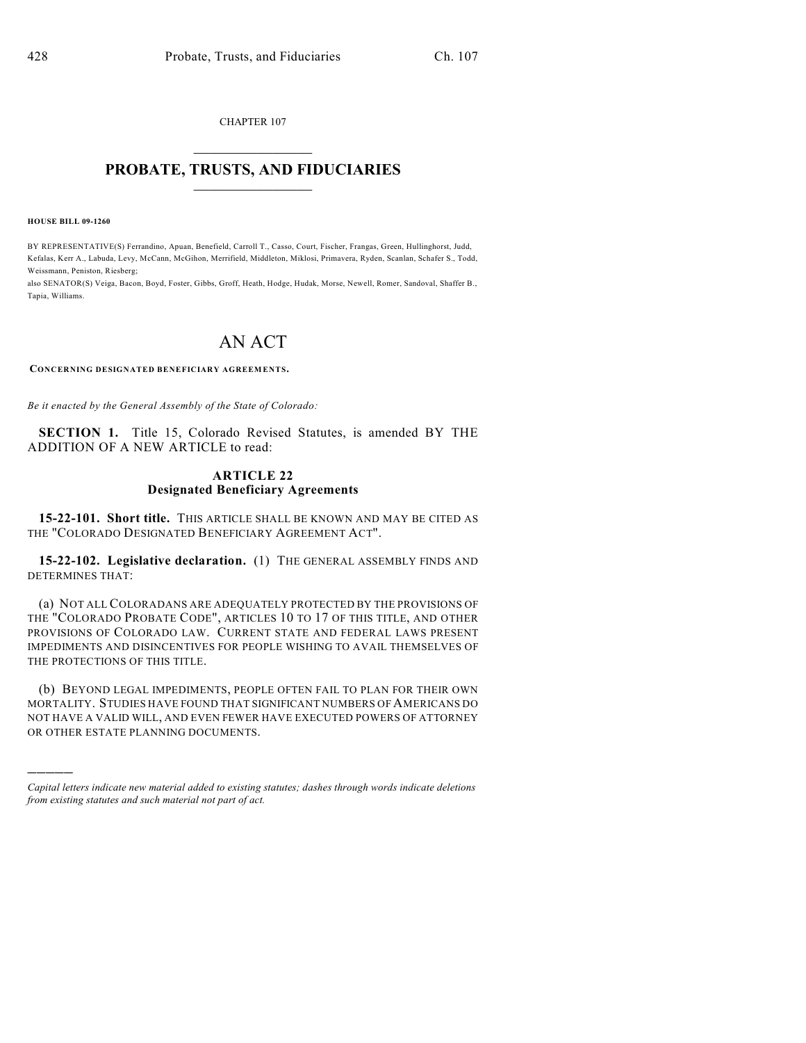CHAPTER 107  $\overline{\phantom{a}}$  . The set of the set of the set of the set of the set of the set of the set of the set of the set of the set of the set of the set of the set of the set of the set of the set of the set of the set of the set o

# **PROBATE, TRUSTS, AND FIDUCIARIES**  $\overline{\phantom{a}}$

**HOUSE BILL 09-1260**

)))))

BY REPRESENTATIVE(S) Ferrandino, Apuan, Benefield, Carroll T., Casso, Court, Fischer, Frangas, Green, Hullinghorst, Judd, Kefalas, Kerr A., Labuda, Levy, McCann, McGihon, Merrifield, Middleton, Miklosi, Primavera, Ryden, Scanlan, Schafer S., Todd, Weissmann, Peniston, Riesberg;

also SENATOR(S) Veiga, Bacon, Boyd, Foster, Gibbs, Groff, Heath, Hodge, Hudak, Morse, Newell, Romer, Sandoval, Shaffer B., Tapia, Williams.

# AN ACT

**CONCERNING DESIGNATED BENEFICIARY AGREEMENTS.**

*Be it enacted by the General Assembly of the State of Colorado:*

**SECTION 1.** Title 15, Colorado Revised Statutes, is amended BY THE ADDITION OF A NEW ARTICLE to read:

## **ARTICLE 22 Designated Beneficiary Agreements**

**15-22-101. Short title.** THIS ARTICLE SHALL BE KNOWN AND MAY BE CITED AS THE "COLORADO DESIGNATED BENEFICIARY AGREEMENT ACT".

**15-22-102. Legislative declaration.** (1) THE GENERAL ASSEMBLY FINDS AND DETERMINES THAT:

(a) NOT ALL COLORADANS ARE ADEQUATELY PROTECTED BY THE PROVISIONS OF THE "COLORADO PROBATE CODE", ARTICLES 10 TO 17 OF THIS TITLE, AND OTHER PROVISIONS OF COLORADO LAW. CURRENT STATE AND FEDERAL LAWS PRESENT IMPEDIMENTS AND DISINCENTIVES FOR PEOPLE WISHING TO AVAIL THEMSELVES OF THE PROTECTIONS OF THIS TITLE.

(b) BEYOND LEGAL IMPEDIMENTS, PEOPLE OFTEN FAIL TO PLAN FOR THEIR OWN MORTALITY. STUDIES HAVE FOUND THAT SIGNIFICANT NUMBERS OF AMERICANS DO NOT HAVE A VALID WILL, AND EVEN FEWER HAVE EXECUTED POWERS OF ATTORNEY OR OTHER ESTATE PLANNING DOCUMENTS.

*Capital letters indicate new material added to existing statutes; dashes through words indicate deletions from existing statutes and such material not part of act.*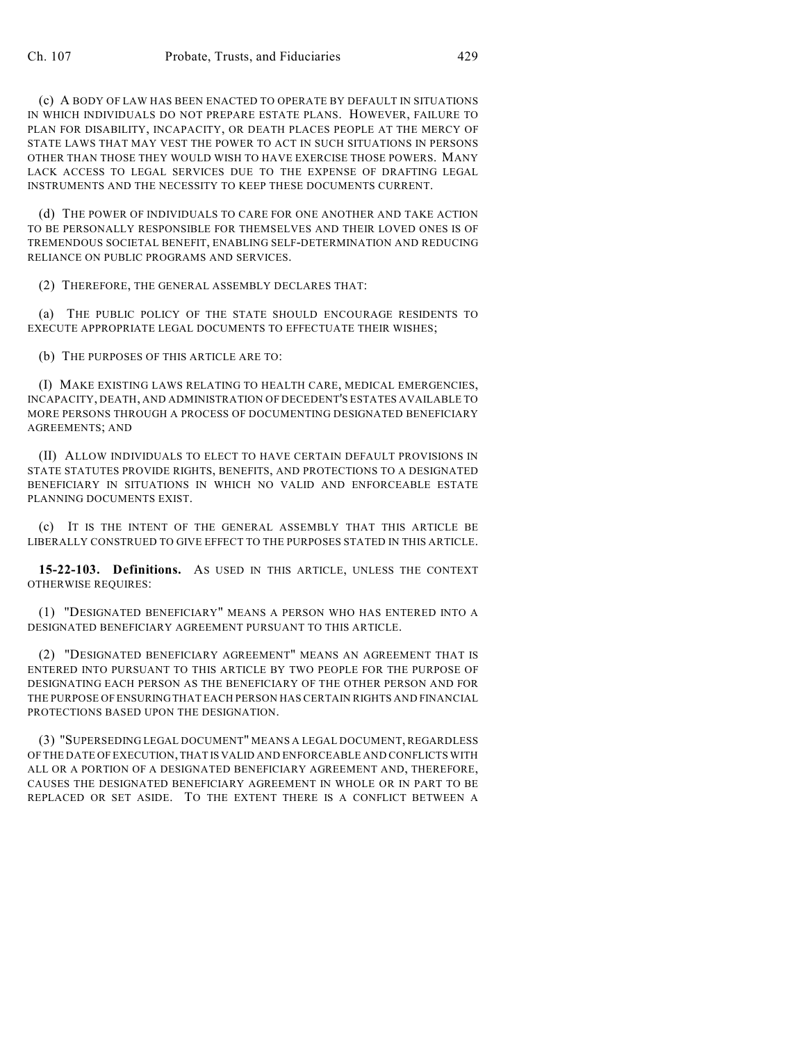(c) A BODY OF LAW HAS BEEN ENACTED TO OPERATE BY DEFAULT IN SITUATIONS IN WHICH INDIVIDUALS DO NOT PREPARE ESTATE PLANS. HOWEVER, FAILURE TO PLAN FOR DISABILITY, INCAPACITY, OR DEATH PLACES PEOPLE AT THE MERCY OF STATE LAWS THAT MAY VEST THE POWER TO ACT IN SUCH SITUATIONS IN PERSONS OTHER THAN THOSE THEY WOULD WISH TO HAVE EXERCISE THOSE POWERS. MANY LACK ACCESS TO LEGAL SERVICES DUE TO THE EXPENSE OF DRAFTING LEGAL INSTRUMENTS AND THE NECESSITY TO KEEP THESE DOCUMENTS CURRENT.

(d) THE POWER OF INDIVIDUALS TO CARE FOR ONE ANOTHER AND TAKE ACTION TO BE PERSONALLY RESPONSIBLE FOR THEMSELVES AND THEIR LOVED ONES IS OF TREMENDOUS SOCIETAL BENEFIT, ENABLING SELF-DETERMINATION AND REDUCING RELIANCE ON PUBLIC PROGRAMS AND SERVICES.

(2) THEREFORE, THE GENERAL ASSEMBLY DECLARES THAT:

(a) THE PUBLIC POLICY OF THE STATE SHOULD ENCOURAGE RESIDENTS TO EXECUTE APPROPRIATE LEGAL DOCUMENTS TO EFFECTUATE THEIR WISHES;

(b) THE PURPOSES OF THIS ARTICLE ARE TO:

(I) MAKE EXISTING LAWS RELATING TO HEALTH CARE, MEDICAL EMERGENCIES, INCAPACITY, DEATH, AND ADMINISTRATION OF DECEDENT'S ESTATES AVAILABLE TO MORE PERSONS THROUGH A PROCESS OF DOCUMENTING DESIGNATED BENEFICIARY AGREEMENTS; AND

(II) ALLOW INDIVIDUALS TO ELECT TO HAVE CERTAIN DEFAULT PROVISIONS IN STATE STATUTES PROVIDE RIGHTS, BENEFITS, AND PROTECTIONS TO A DESIGNATED BENEFICIARY IN SITUATIONS IN WHICH NO VALID AND ENFORCEABLE ESTATE PLANNING DOCUMENTS EXIST.

(c) IT IS THE INTENT OF THE GENERAL ASSEMBLY THAT THIS ARTICLE BE LIBERALLY CONSTRUED TO GIVE EFFECT TO THE PURPOSES STATED IN THIS ARTICLE.

**15-22-103. Definitions.** AS USED IN THIS ARTICLE, UNLESS THE CONTEXT OTHERWISE REQUIRES:

(1) "DESIGNATED BENEFICIARY" MEANS A PERSON WHO HAS ENTERED INTO A DESIGNATED BENEFICIARY AGREEMENT PURSUANT TO THIS ARTICLE.

(2) "DESIGNATED BENEFICIARY AGREEMENT" MEANS AN AGREEMENT THAT IS ENTERED INTO PURSUANT TO THIS ARTICLE BY TWO PEOPLE FOR THE PURPOSE OF DESIGNATING EACH PERSON AS THE BENEFICIARY OF THE OTHER PERSON AND FOR THE PURPOSE OF ENSURING THAT EACH PERSON HAS CERTAIN RIGHTS AND FINANCIAL PROTECTIONS BASED UPON THE DESIGNATION.

(3) "SUPERSEDING LEGAL DOCUMENT" MEANS A LEGAL DOCUMENT, REGARDLESS OF THE DATE OF EXECUTION, THAT IS VALID AND ENFORCEABLE AND CONFLICTS WITH ALL OR A PORTION OF A DESIGNATED BENEFICIARY AGREEMENT AND, THEREFORE, CAUSES THE DESIGNATED BENEFICIARY AGREEMENT IN WHOLE OR IN PART TO BE REPLACED OR SET ASIDE. TO THE EXTENT THERE IS A CONFLICT BETWEEN A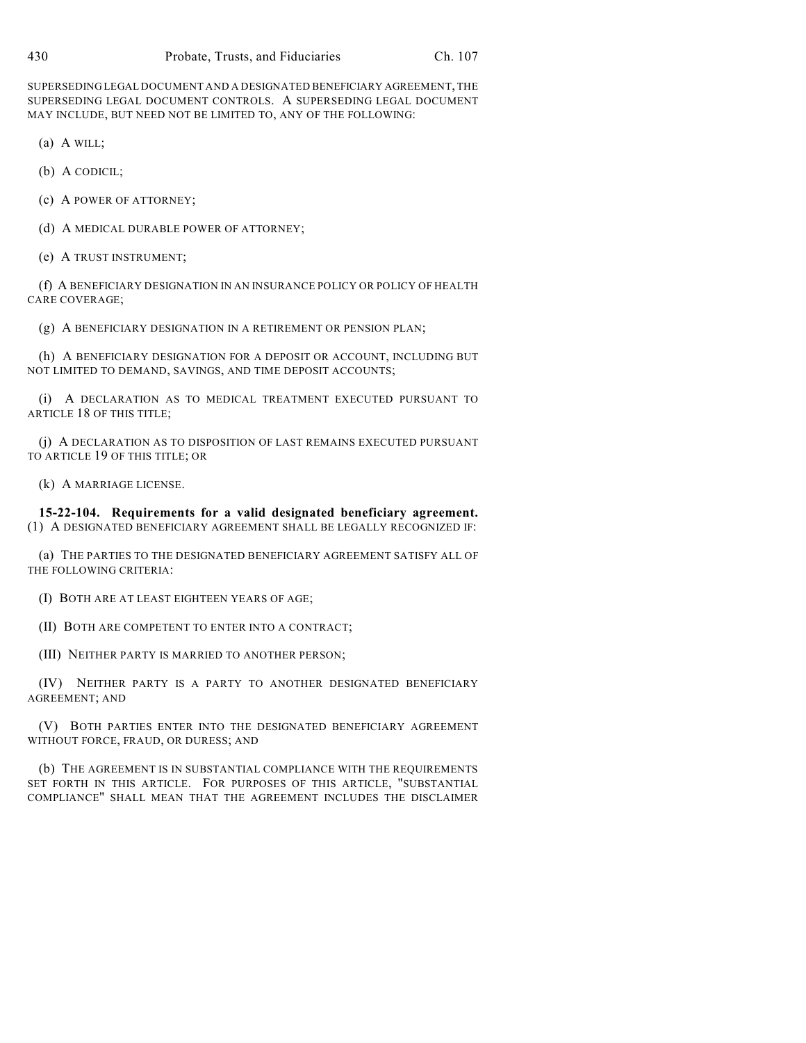SUPERSEDING LEGAL DOCUMENT AND A DESIGNATED BENEFICIARY AGREEMENT, THE SUPERSEDING LEGAL DOCUMENT CONTROLS. A SUPERSEDING LEGAL DOCUMENT MAY INCLUDE, BUT NEED NOT BE LIMITED TO, ANY OF THE FOLLOWING:

(a) A WILL;

- (b) A CODICIL;
- (c) A POWER OF ATTORNEY;
- (d) A MEDICAL DURABLE POWER OF ATTORNEY;
- (e) A TRUST INSTRUMENT;

(f) A BENEFICIARY DESIGNATION IN AN INSURANCE POLICY OR POLICY OF HEALTH CARE COVERAGE;

(g) A BENEFICIARY DESIGNATION IN A RETIREMENT OR PENSION PLAN;

(h) A BENEFICIARY DESIGNATION FOR A DEPOSIT OR ACCOUNT, INCLUDING BUT NOT LIMITED TO DEMAND, SAVINGS, AND TIME DEPOSIT ACCOUNTS;

(i) A DECLARATION AS TO MEDICAL TREATMENT EXECUTED PURSUANT TO ARTICLE 18 OF THIS TITLE;

(j) A DECLARATION AS TO DISPOSITION OF LAST REMAINS EXECUTED PURSUANT TO ARTICLE 19 OF THIS TITLE; OR

(k) A MARRIAGE LICENSE.

**15-22-104. Requirements for a valid designated beneficiary agreement.** (1) A DESIGNATED BENEFICIARY AGREEMENT SHALL BE LEGALLY RECOGNIZED IF:

(a) THE PARTIES TO THE DESIGNATED BENEFICIARY AGREEMENT SATISFY ALL OF THE FOLLOWING CRITERIA:

(I) BOTH ARE AT LEAST EIGHTEEN YEARS OF AGE;

(II) BOTH ARE COMPETENT TO ENTER INTO A CONTRACT;

(III) NEITHER PARTY IS MARRIED TO ANOTHER PERSON;

(IV) NEITHER PARTY IS A PARTY TO ANOTHER DESIGNATED BENEFICIARY AGREEMENT; AND

(V) BOTH PARTIES ENTER INTO THE DESIGNATED BENEFICIARY AGREEMENT WITHOUT FORCE, FRAUD, OR DURESS; AND

(b) THE AGREEMENT IS IN SUBSTANTIAL COMPLIANCE WITH THE REQUIREMENTS SET FORTH IN THIS ARTICLE. FOR PURPOSES OF THIS ARTICLE, "SUBSTANTIAL COMPLIANCE" SHALL MEAN THAT THE AGREEMENT INCLUDES THE DISCLAIMER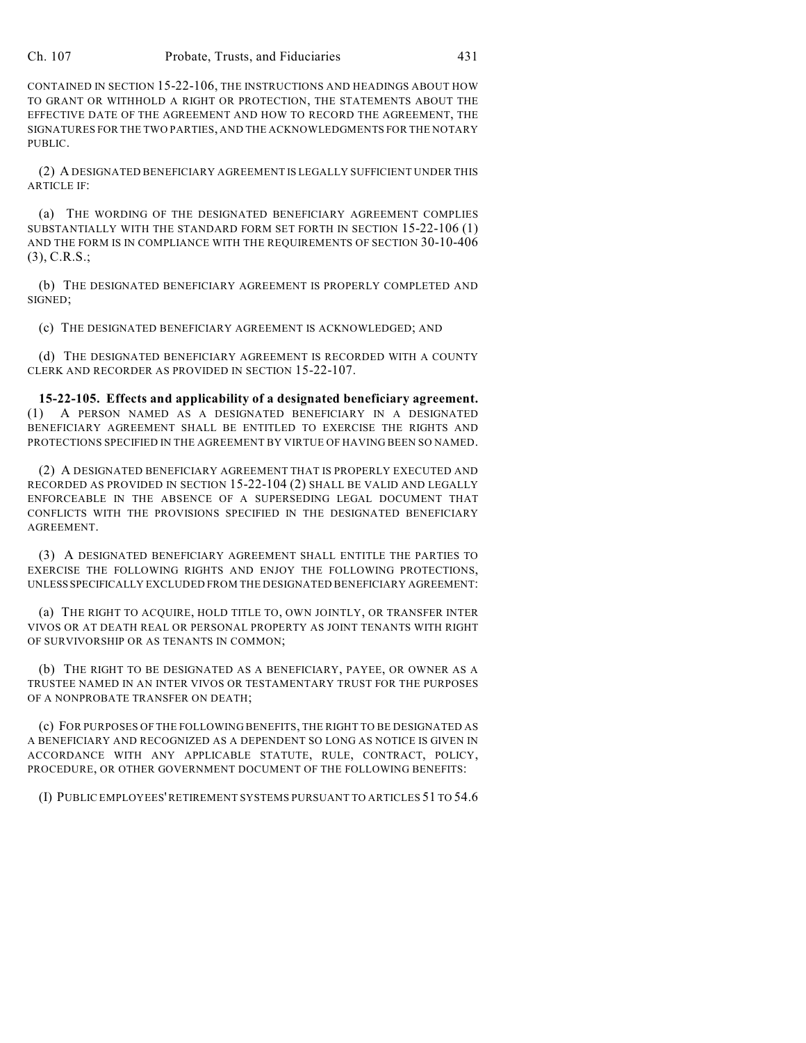CONTAINED IN SECTION 15-22-106, THE INSTRUCTIONS AND HEADINGS ABOUT HOW TO GRANT OR WITHHOLD A RIGHT OR PROTECTION, THE STATEMENTS ABOUT THE EFFECTIVE DATE OF THE AGREEMENT AND HOW TO RECORD THE AGREEMENT, THE SIGNATURES FOR THE TWO PARTIES, AND THE ACKNOWLEDGMENTS FOR THE NOTARY PUBLIC.

(2) A DESIGNATED BENEFICIARY AGREEMENT IS LEGALLY SUFFICIENT UNDER THIS ARTICLE IF:

(a) THE WORDING OF THE DESIGNATED BENEFICIARY AGREEMENT COMPLIES SUBSTANTIALLY WITH THE STANDARD FORM SET FORTH IN SECTION 15-22-106 (1) AND THE FORM IS IN COMPLIANCE WITH THE REQUIREMENTS OF SECTION 30-10-406 (3), C.R.S.;

(b) THE DESIGNATED BENEFICIARY AGREEMENT IS PROPERLY COMPLETED AND SIGNED;

(c) THE DESIGNATED BENEFICIARY AGREEMENT IS ACKNOWLEDGED; AND

(d) THE DESIGNATED BENEFICIARY AGREEMENT IS RECORDED WITH A COUNTY CLERK AND RECORDER AS PROVIDED IN SECTION 15-22-107.

**15-22-105. Effects and applicability of a designated beneficiary agreement.** (1) A PERSON NAMED AS A DESIGNATED BENEFICIARY IN A DESIGNATED BENEFICIARY AGREEMENT SHALL BE ENTITLED TO EXERCISE THE RIGHTS AND PROTECTIONS SPECIFIED IN THE AGREEMENT BY VIRTUE OF HAVING BEEN SO NAMED.

(2) A DESIGNATED BENEFICIARY AGREEMENT THAT IS PROPERLY EXECUTED AND RECORDED AS PROVIDED IN SECTION 15-22-104 (2) SHALL BE VALID AND LEGALLY ENFORCEABLE IN THE ABSENCE OF A SUPERSEDING LEGAL DOCUMENT THAT CONFLICTS WITH THE PROVISIONS SPECIFIED IN THE DESIGNATED BENEFICIARY AGREEMENT.

(3) A DESIGNATED BENEFICIARY AGREEMENT SHALL ENTITLE THE PARTIES TO EXERCISE THE FOLLOWING RIGHTS AND ENJOY THE FOLLOWING PROTECTIONS, UNLESS SPECIFICALLY EXCLUDED FROM THE DESIGNATED BENEFICIARY AGREEMENT:

(a) THE RIGHT TO ACQUIRE, HOLD TITLE TO, OWN JOINTLY, OR TRANSFER INTER VIVOS OR AT DEATH REAL OR PERSONAL PROPERTY AS JOINT TENANTS WITH RIGHT OF SURVIVORSHIP OR AS TENANTS IN COMMON;

(b) THE RIGHT TO BE DESIGNATED AS A BENEFICIARY, PAYEE, OR OWNER AS A TRUSTEE NAMED IN AN INTER VIVOS OR TESTAMENTARY TRUST FOR THE PURPOSES OF A NONPROBATE TRANSFER ON DEATH;

(c) FOR PURPOSES OF THE FOLLOWING BENEFITS, THE RIGHT TO BE DESIGNATED AS A BENEFICIARY AND RECOGNIZED AS A DEPENDENT SO LONG AS NOTICE IS GIVEN IN ACCORDANCE WITH ANY APPLICABLE STATUTE, RULE, CONTRACT, POLICY, PROCEDURE, OR OTHER GOVERNMENT DOCUMENT OF THE FOLLOWING BENEFITS:

(I) PUBLIC EMPLOYEES' RETIREMENT SYSTEMS PURSUANT TO ARTICLES 51 TO 54.6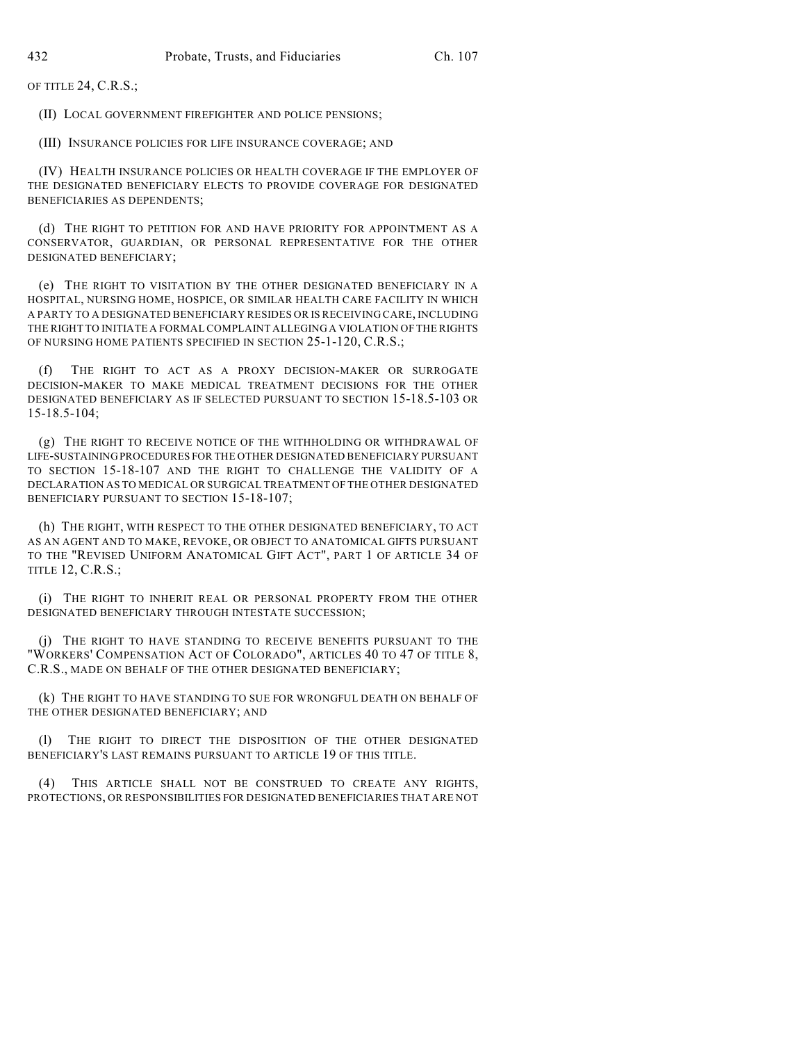OF TITLE 24, C.R.S.;

(II) LOCAL GOVERNMENT FIREFIGHTER AND POLICE PENSIONS;

(III) INSURANCE POLICIES FOR LIFE INSURANCE COVERAGE; AND

(IV) HEALTH INSURANCE POLICIES OR HEALTH COVERAGE IF THE EMPLOYER OF THE DESIGNATED BENEFICIARY ELECTS TO PROVIDE COVERAGE FOR DESIGNATED BENEFICIARIES AS DEPENDENTS;

(d) THE RIGHT TO PETITION FOR AND HAVE PRIORITY FOR APPOINTMENT AS A CONSERVATOR, GUARDIAN, OR PERSONAL REPRESENTATIVE FOR THE OTHER DESIGNATED BENEFICIARY;

(e) THE RIGHT TO VISITATION BY THE OTHER DESIGNATED BENEFICIARY IN A HOSPITAL, NURSING HOME, HOSPICE, OR SIMILAR HEALTH CARE FACILITY IN WHICH A PARTY TO A DESIGNATED BENEFICIARY RESIDES OR IS RECEIVING CARE, INCLUDING THE RIGHT TO INITIATE A FORMAL COMPLAINT ALLEGING A VIOLATION OF THE RIGHTS OF NURSING HOME PATIENTS SPECIFIED IN SECTION 25-1-120, C.R.S.;

(f) THE RIGHT TO ACT AS A PROXY DECISION-MAKER OR SURROGATE DECISION-MAKER TO MAKE MEDICAL TREATMENT DECISIONS FOR THE OTHER DESIGNATED BENEFICIARY AS IF SELECTED PURSUANT TO SECTION 15-18.5-103 OR 15-18.5-104;

(g) THE RIGHT TO RECEIVE NOTICE OF THE WITHHOLDING OR WITHDRAWAL OF LIFE-SUSTAINING PROCEDURES FOR THE OTHER DESIGNATED BENEFICIARY PURSUANT TO SECTION 15-18-107 AND THE RIGHT TO CHALLENGE THE VALIDITY OF A DECLARATION AS TO MEDICAL OR SURGICAL TREATMENT OF THE OTHER DESIGNATED BENEFICIARY PURSUANT TO SECTION 15-18-107;

(h) THE RIGHT, WITH RESPECT TO THE OTHER DESIGNATED BENEFICIARY, TO ACT AS AN AGENT AND TO MAKE, REVOKE, OR OBJECT TO ANATOMICAL GIFTS PURSUANT TO THE "REVISED UNIFORM ANATOMICAL GIFT ACT", PART 1 OF ARTICLE 34 OF TITLE 12, C.R.S.;

(i) THE RIGHT TO INHERIT REAL OR PERSONAL PROPERTY FROM THE OTHER DESIGNATED BENEFICIARY THROUGH INTESTATE SUCCESSION;

(j) THE RIGHT TO HAVE STANDING TO RECEIVE BENEFITS PURSUANT TO THE "WORKERS' COMPENSATION ACT OF COLORADO", ARTICLES 40 TO 47 OF TITLE 8, C.R.S., MADE ON BEHALF OF THE OTHER DESIGNATED BENEFICIARY;

(k) THE RIGHT TO HAVE STANDING TO SUE FOR WRONGFUL DEATH ON BEHALF OF THE OTHER DESIGNATED BENEFICIARY; AND

(l) THE RIGHT TO DIRECT THE DISPOSITION OF THE OTHER DESIGNATED BENEFICIARY'S LAST REMAINS PURSUANT TO ARTICLE 19 OF THIS TITLE.

(4) THIS ARTICLE SHALL NOT BE CONSTRUED TO CREATE ANY RIGHTS, PROTECTIONS, OR RESPONSIBILITIES FOR DESIGNATED BENEFICIARIES THAT ARE NOT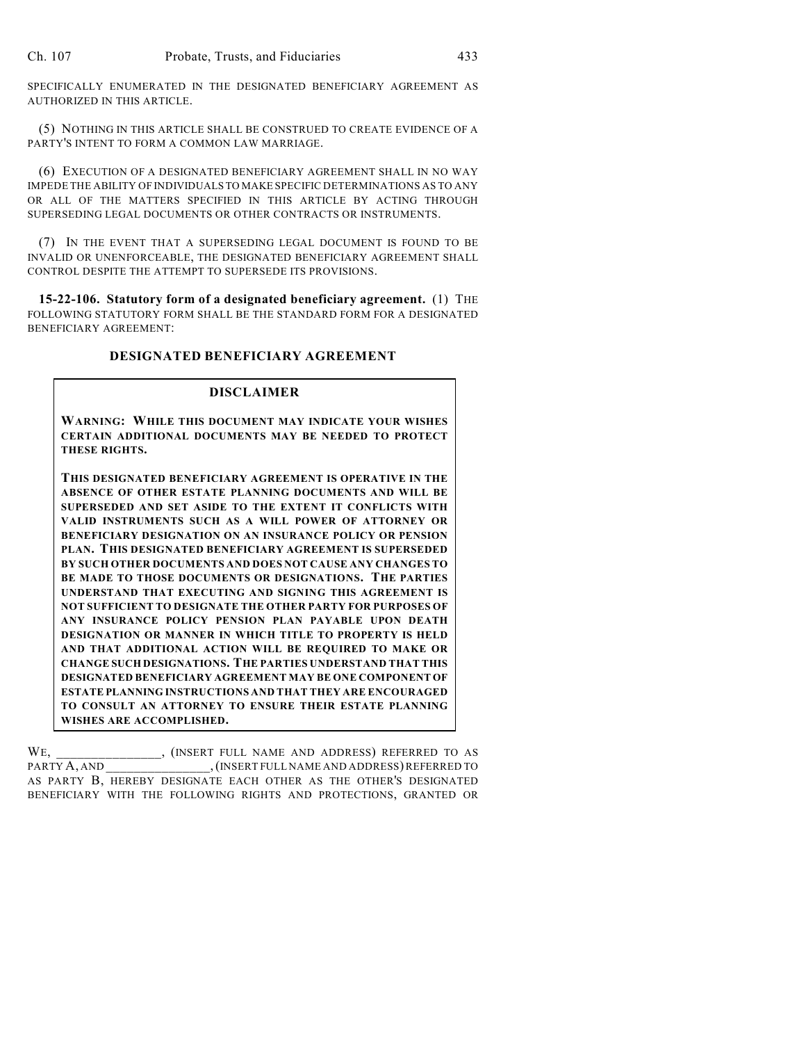SPECIFICALLY ENUMERATED IN THE DESIGNATED BENEFICIARY AGREEMENT AS AUTHORIZED IN THIS ARTICLE.

(5) NOTHING IN THIS ARTICLE SHALL BE CONSTRUED TO CREATE EVIDENCE OF A PARTY'S INTENT TO FORM A COMMON LAW MARRIAGE.

(6) EXECUTION OF A DESIGNATED BENEFICIARY AGREEMENT SHALL IN NO WAY IMPEDE THE ABILITY OF INDIVIDUALS TO MAKE SPECIFIC DETERMINATIONS AS TO ANY OR ALL OF THE MATTERS SPECIFIED IN THIS ARTICLE BY ACTING THROUGH SUPERSEDING LEGAL DOCUMENTS OR OTHER CONTRACTS OR INSTRUMENTS.

(7) IN THE EVENT THAT A SUPERSEDING LEGAL DOCUMENT IS FOUND TO BE INVALID OR UNENFORCEABLE, THE DESIGNATED BENEFICIARY AGREEMENT SHALL CONTROL DESPITE THE ATTEMPT TO SUPERSEDE ITS PROVISIONS.

**15-22-106. Statutory form of a designated beneficiary agreement.** (1) THE FOLLOWING STATUTORY FORM SHALL BE THE STANDARD FORM FOR A DESIGNATED BENEFICIARY AGREEMENT:

# **DESIGNATED BENEFICIARY AGREEMENT**

#### **DISCLAIMER**

**WARNING: WHILE THIS DOCUMENT MAY INDICATE YOUR WISHES CERTAIN ADDITIONAL DOCUMENTS MAY BE NEEDED TO PROTECT THESE RIGHTS.**

**THIS DESIGNATED BENEFICIARY AGREEMENT IS OPERATIVE IN THE ABSENCE OF OTHER ESTATE PLANNING DOCUMENTS AND WILL BE SUPERSEDED AND SET ASIDE TO THE EXTENT IT CONFLICTS WITH VALID INSTRUMENTS SUCH AS A WILL POWER OF ATTORNEY OR BENEFICIARY DESIGNATION ON AN INSURANCE POLICY OR PENSION PLAN. THIS DESIGNATED BENEFICIARY AGREEMENT IS SUPERSEDED BY SUCH OTHER DOCUMENTS AND DOES NOT CAUSE ANY CHANGES TO BE MADE TO THOSE DOCUMENTS OR DESIGNATIONS. THE PARTIES UNDERSTAND THAT EXECUTING AND SIGNING THIS AGREEMENT IS NOT SUFFICIENT TO DESIGNATE THE OTHER PARTY FOR PURPOSES OF ANY INSURANCE POLICY PENSION PLAN PAYABLE UPON DEATH DESIGNATION OR MANNER IN WHICH TITLE TO PROPERTY IS HELD AND THAT ADDITIONAL ACTION WILL BE REQUIRED TO MAKE OR CHANGE SUCH DESIGNATIONS. THE PARTIES UNDERSTAND THAT THIS DESIGNATED BENEFICIARY AGREEMENT MAY BE ONE COMPONENT OF ESTATE PLANNING INSTRUCTIONS AND THAT THEY ARE ENCOURAGED TO CONSULT AN ATTORNEY TO ENSURE THEIR ESTATE PLANNING WISHES ARE ACCOMPLISHED.**

WE, \_\_\_\_\_\_\_\_\_\_\_\_\_\_, (INSERT FULL NAME AND ADDRESS) REFERRED TO AS PARTY A, AND \_\_\_\_\_\_\_\_\_\_\_\_\_\_\_\_,(INSERT FULL NAME AND ADDRESS) REFERRED TO AS PARTY B, HEREBY DESIGNATE EACH OTHER AS THE OTHER'S DESIGNATED BENEFICIARY WITH THE FOLLOWING RIGHTS AND PROTECTIONS, GRANTED OR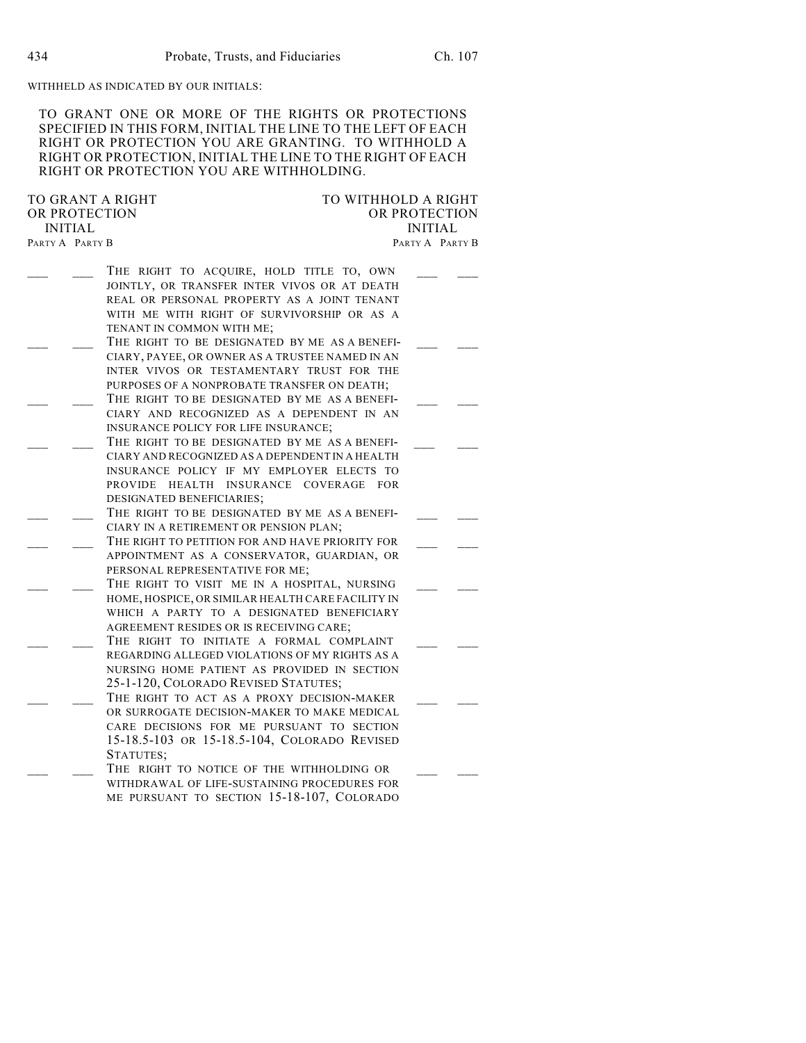#### WITHHELD AS INDICATED BY OUR INITIALS:

TO GRANT ONE OR MORE OF THE RIGHTS OR PROTECTIONS SPECIFIED IN THIS FORM, INITIAL THE LINE TO THE LEFT OF EACH RIGHT OR PROTECTION YOU ARE GRANTING. TO WITHHOLD A RIGHT OR PROTECTION, INITIAL THE LINE TO THE RIGHT OF EACH RIGHT OR PROTECTION YOU ARE WITHHOLDING.

TO GRANT A RIGHT TO WITHHOLD A RIGHT OR PROTECTION OR PROTECTION OR PROTECTION OR PROTECTION INITIAL INITIAL

PARTY A PARTY B PARTY A PARTY B THE RIGHT TO ACQUIRE, HOLD TITLE TO, OWN JOINTLY, OR TRANSFER INTER VIVOS OR AT DEATH REAL OR PERSONAL PROPERTY AS A JOINT TENANT WITH ME WITH RIGHT OF SURVIVORSHIP OR AS A TENANT IN COMMON WITH ME; THE RIGHT TO BE DESIGNATED BY ME AS A BENEFI-CIARY, PAYEE, OR OWNER AS A TRUSTEE NAMED IN AN INTER VIVOS OR TESTAMENTARY TRUST FOR THE PURPOSES OF A NONPROBATE TRANSFER ON DEATH; THE RIGHT TO BE DESIGNATED BY ME AS A BENEFI-CIARY AND RECOGNIZED AS A DEPENDENT IN AN INSURANCE POLICY FOR LIFE INSURANCE; THE RIGHT TO BE DESIGNATED BY ME AS A BENEFI-CIARY AND RECOGNIZED AS A DEPENDENT IN A HEALTH INSURANCE POLICY IF MY EMPLOYER ELECTS TO PROVIDE HEALTH INSURANCE COVERAGE FOR DESIGNATED BENEFICIARIES; THE RIGHT TO BE DESIGNATED BY ME AS A BENEFI-CIARY IN A RETIREMENT OR PENSION PLAN; THE RIGHT TO PETITION FOR AND HAVE PRIORITY FOR APPOINTMENT AS A CONSERVATOR, GUARDIAN, OR PERSONAL REPRESENTATIVE FOR ME; THE RIGHT TO VISIT ME IN A HOSPITAL, NURSING HOME, HOSPICE, OR SIMILAR HEALTH CARE FACILITY IN WHICH A PARTY TO A DESIGNATED BENEFICIARY AGREEMENT RESIDES OR IS RECEIVING CARE; THE RIGHT TO INITIATE A FORMAL COMPLAINT REGARDING ALLEGED VIOLATIONS OF MY RIGHTS AS A NURSING HOME PATIENT AS PROVIDED IN SECTION 25-1-120, COLORADO REVISED STATUTES; THE RIGHT TO ACT AS A PROXY DECISION-MAKER OR SURROGATE DECISION-MAKER TO MAKE MEDICAL CARE DECISIONS FOR ME PURSUANT TO SECTION 15-18.5-103 OR 15-18.5-104, COLORADO REVISED

STATUTES; THE RIGHT TO NOTICE OF THE WITHHOLDING OR WITHDRAWAL OF LIFE-SUSTAINING PROCEDURES FOR ME PURSUANT TO SECTION 15-18-107, COLORADO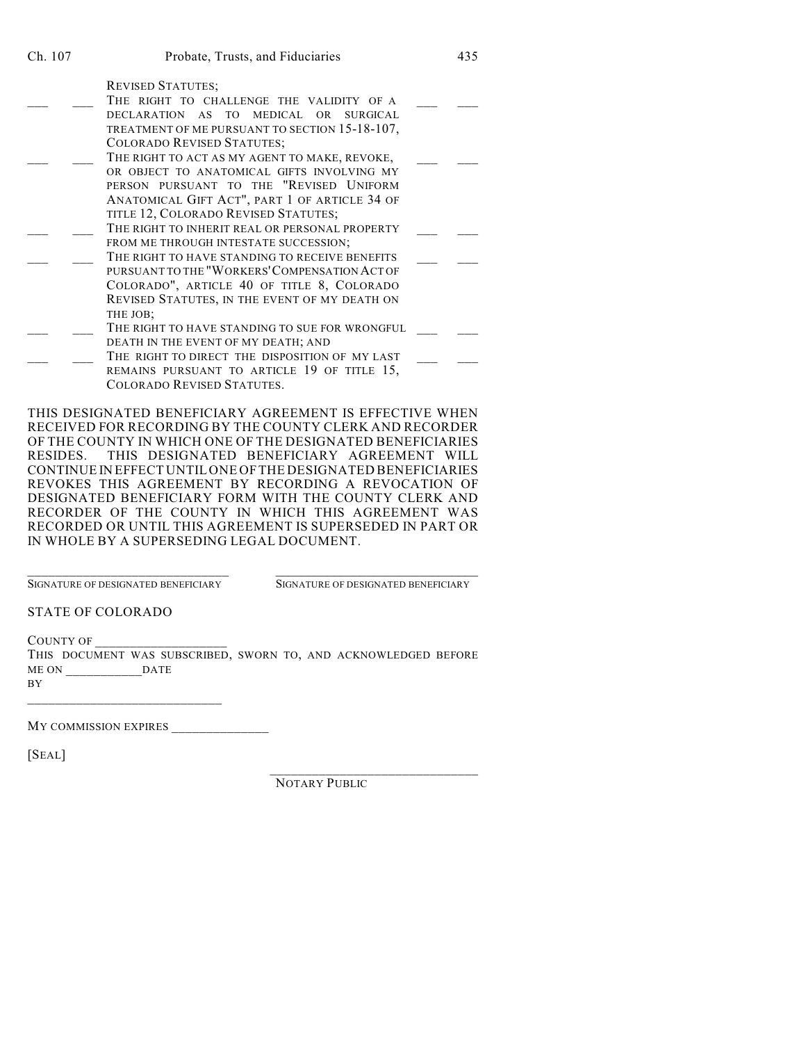REVISED STATUTES;

- THE RIGHT TO CHALLENGE THE VALIDITY OF A DECLARATION AS TO MEDICAL OR SURGICAL TREATMENT OF ME PURSUANT TO SECTION 15-18-107, COLORADO REVISED STATUTES; THE RIGHT TO ACT AS MY AGENT TO MAKE, REVOKE,
- OR OBJECT TO ANATOMICAL GIFTS INVOLVING MY PERSON PURSUANT TO THE "REVISED UNIFORM ANATOMICAL GIFT ACT", PART 1 OF ARTICLE 34 OF TITLE 12, COLORADO REVISED STATUTES;
- THE RIGHT TO INHERIT REAL OR PERSONAL PROPERTY FROM ME THROUGH INTESTATE SUCCESSION;
- THE RIGHT TO HAVE STANDING TO RECEIVE BENEFITS PURSUANT TO THE "WORKERS'COMPENSATION ACT OF COLORADO", ARTICLE 40 OF TITLE 8, COLORADO REVISED STATUTES, IN THE EVENT OF MY DEATH ON THE JOB;
- THE RIGHT TO HAVE STANDING TO SUE FOR WRONGFUL DEATH IN THE EVENT OF MY DEATH; AND
- \_\_\_ \_\_\_ THE RIGHT TO DIRECT THE DISPOSITION OF MY LAST \_\_\_ \_\_\_ REMAINS PURSUANT TO ARTICLE 19 OF TITLE 15, COLORADO REVISED STATUTES.

THIS DESIGNATED BENEFICIARY AGREEMENT IS EFFECTIVE WHEN RECEIVED FOR RECORDING BY THE COUNTY CLERK AND RECORDER OF THE COUNTY IN WHICH ONE OF THE DESIGNATED BENEFICIARIES RESIDES. THIS DESIGNATED BENEFICIARY AGREEMENT WILL CONTINUEIN EFFECT UNTILONE OFTHE DESIGNATED BENEFICIARIES REVOKES THIS AGREEMENT BY RECORDING A REVOCATION OF DESIGNATED BENEFICIARY FORM WITH THE COUNTY CLERK AND RECORDER OF THE COUNTY IN WHICH THIS AGREEMENT WAS RECORDED OR UNTIL THIS AGREEMENT IS SUPERSEDED IN PART OR IN WHOLE BY A SUPERSEDING LEGAL DOCUMENT.

\_\_\_\_\_\_\_\_\_\_\_\_\_\_\_\_\_\_\_\_\_\_\_\_\_\_\_\_\_ \_\_\_\_\_\_\_\_\_\_\_\_\_\_\_\_\_\_\_\_\_\_\_\_\_\_\_\_\_\_\_ SIGNATURE OF DESIGNATED BENEFICIARY SIGNATURE OF DESIGNATED BENEFICIARY

STATE OF COLORADO

COUNTY OF THIS DOCUMENT WAS SUBSCRIBED, SWORN TO, AND ACKNOWLEDGED BEFORE ME ON  $\hfill$  DATE BY

\_\_\_\_\_\_\_\_\_\_\_\_\_\_\_\_\_\_\_\_\_\_\_\_\_\_\_\_ MY COMMISSION EXPIRES \_\_\_\_\_\_\_\_\_\_\_\_\_\_

[SEAL]

\_\_\_\_\_\_\_\_\_\_\_\_\_\_\_\_\_\_\_\_\_\_\_\_\_\_\_\_\_\_ NOTARY PUBLIC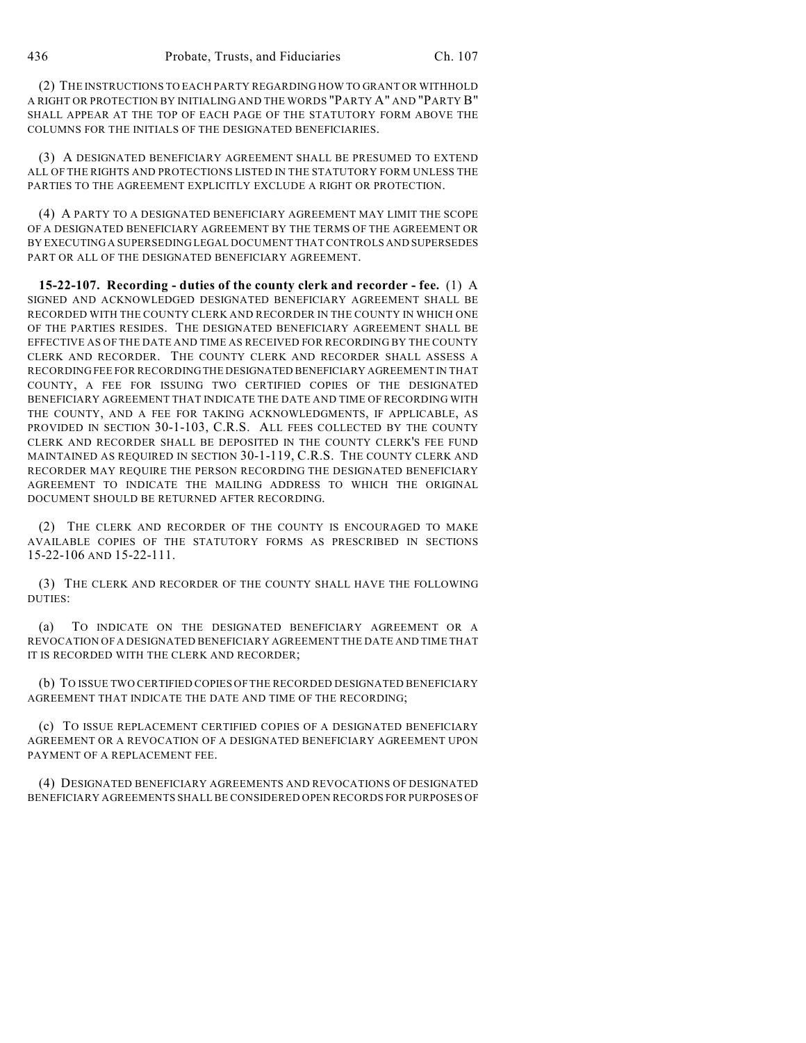(2) THE INSTRUCTIONS TO EACH PARTY REGARDING HOW TO GRANT OR WITHHOLD A RIGHT OR PROTECTION BY INITIALING AND THE WORDS "PARTY A" AND "PARTY B" SHALL APPEAR AT THE TOP OF EACH PAGE OF THE STATUTORY FORM ABOVE THE COLUMNS FOR THE INITIALS OF THE DESIGNATED BENEFICIARIES.

(3) A DESIGNATED BENEFICIARY AGREEMENT SHALL BE PRESUMED TO EXTEND ALL OF THE RIGHTS AND PROTECTIONS LISTED IN THE STATUTORY FORM UNLESS THE PARTIES TO THE AGREEMENT EXPLICITLY EXCLUDE A RIGHT OR PROTECTION.

(4) A PARTY TO A DESIGNATED BENEFICIARY AGREEMENT MAY LIMIT THE SCOPE OF A DESIGNATED BENEFICIARY AGREEMENT BY THE TERMS OF THE AGREEMENT OR BY EXECUTING A SUPERSEDING LEGAL DOCUMENT THAT CONTROLS AND SUPERSEDES PART OR ALL OF THE DESIGNATED BENEFICIARY AGREEMENT.

**15-22-107. Recording - duties of the county clerk and recorder - fee.** (1) A SIGNED AND ACKNOWLEDGED DESIGNATED BENEFICIARY AGREEMENT SHALL BE RECORDED WITH THE COUNTY CLERK AND RECORDER IN THE COUNTY IN WHICH ONE OF THE PARTIES RESIDES. THE DESIGNATED BENEFICIARY AGREEMENT SHALL BE EFFECTIVE AS OF THE DATE AND TIME AS RECEIVED FOR RECORDING BY THE COUNTY CLERK AND RECORDER. THE COUNTY CLERK AND RECORDER SHALL ASSESS A RECORDING FEE FOR RECORDING THE DESIGNATED BENEFICIARY AGREEMENT IN THAT COUNTY, A FEE FOR ISSUING TWO CERTIFIED COPIES OF THE DESIGNATED BENEFICIARY AGREEMENT THAT INDICATE THE DATE AND TIME OF RECORDING WITH THE COUNTY, AND A FEE FOR TAKING ACKNOWLEDGMENTS, IF APPLICABLE, AS PROVIDED IN SECTION 30-1-103, C.R.S. ALL FEES COLLECTED BY THE COUNTY CLERK AND RECORDER SHALL BE DEPOSITED IN THE COUNTY CLERK'S FEE FUND MAINTAINED AS REQUIRED IN SECTION 30-1-119, C.R.S. THE COUNTY CLERK AND RECORDER MAY REQUIRE THE PERSON RECORDING THE DESIGNATED BENEFICIARY AGREEMENT TO INDICATE THE MAILING ADDRESS TO WHICH THE ORIGINAL DOCUMENT SHOULD BE RETURNED AFTER RECORDING.

(2) THE CLERK AND RECORDER OF THE COUNTY IS ENCOURAGED TO MAKE AVAILABLE COPIES OF THE STATUTORY FORMS AS PRESCRIBED IN SECTIONS 15-22-106 AND 15-22-111.

(3) THE CLERK AND RECORDER OF THE COUNTY SHALL HAVE THE FOLLOWING DUTIES:

(a) TO INDICATE ON THE DESIGNATED BENEFICIARY AGREEMENT OR A REVOCATION OF A DESIGNATED BENEFICIARY AGREEMENT THE DATE AND TIME THAT IT IS RECORDED WITH THE CLERK AND RECORDER;

(b) TO ISSUE TWO CERTIFIED COPIES OFTHE RECORDED DESIGNATED BENEFICIARY AGREEMENT THAT INDICATE THE DATE AND TIME OF THE RECORDING;

(c) TO ISSUE REPLACEMENT CERTIFIED COPIES OF A DESIGNATED BENEFICIARY AGREEMENT OR A REVOCATION OF A DESIGNATED BENEFICIARY AGREEMENT UPON PAYMENT OF A REPLACEMENT FEE.

(4) DESIGNATED BENEFICIARY AGREEMENTS AND REVOCATIONS OF DESIGNATED BENEFICIARY AGREEMENTS SHALL BE CONSIDERED OPEN RECORDS FOR PURPOSES OF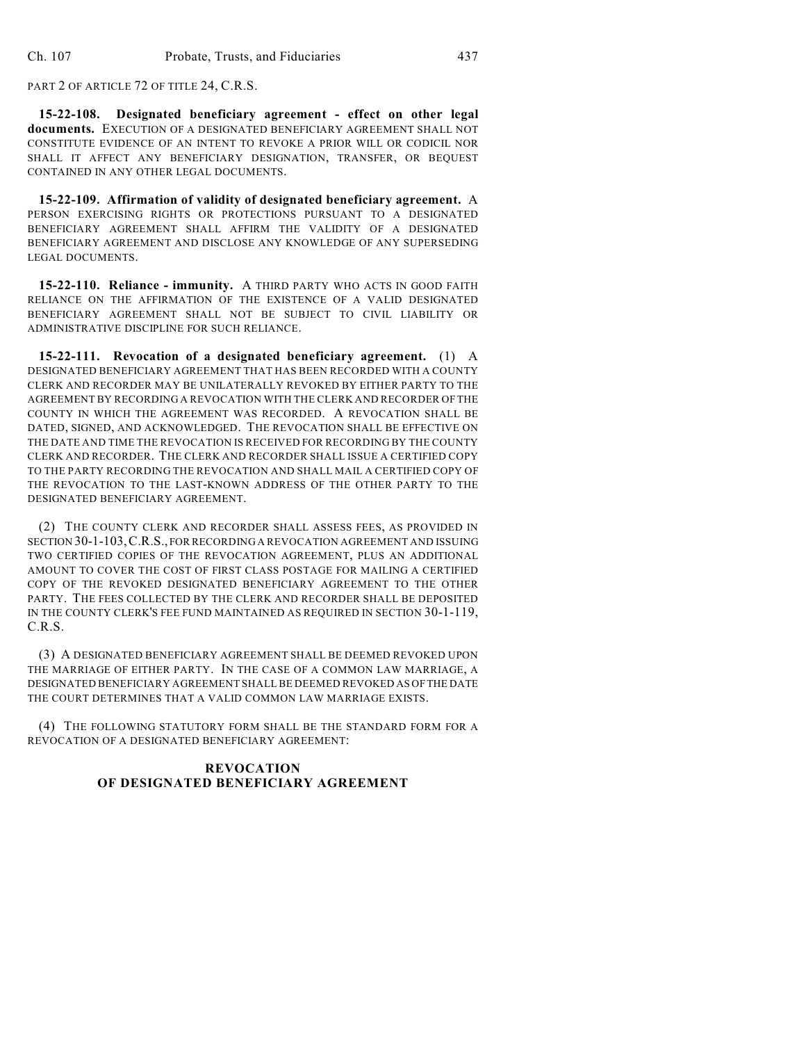PART 2 OF ARTICLE 72 OF TITLE 24, C.R.S.

**15-22-108. Designated beneficiary agreement - effect on other legal documents.** EXECUTION OF A DESIGNATED BENEFICIARY AGREEMENT SHALL NOT CONSTITUTE EVIDENCE OF AN INTENT TO REVOKE A PRIOR WILL OR CODICIL NOR SHALL IT AFFECT ANY BENEFICIARY DESIGNATION, TRANSFER, OR BEQUEST CONTAINED IN ANY OTHER LEGAL DOCUMENTS.

**15-22-109. Affirmation of validity of designated beneficiary agreement.** A PERSON EXERCISING RIGHTS OR PROTECTIONS PURSUANT TO A DESIGNATED BENEFICIARY AGREEMENT SHALL AFFIRM THE VALIDITY OF A DESIGNATED BENEFICIARY AGREEMENT AND DISCLOSE ANY KNOWLEDGE OF ANY SUPERSEDING LEGAL DOCUMENTS.

**15-22-110. Reliance - immunity.** A THIRD PARTY WHO ACTS IN GOOD FAITH RELIANCE ON THE AFFIRMATION OF THE EXISTENCE OF A VALID DESIGNATED BENEFICIARY AGREEMENT SHALL NOT BE SUBJECT TO CIVIL LIABILITY OR ADMINISTRATIVE DISCIPLINE FOR SUCH RELIANCE.

**15-22-111. Revocation of a designated beneficiary agreement.** (1) A DESIGNATED BENEFICIARY AGREEMENT THAT HAS BEEN RECORDED WITH A COUNTY CLERK AND RECORDER MAY BE UNILATERALLY REVOKED BY EITHER PARTY TO THE AGREEMENT BY RECORDING A REVOCATION WITH THE CLERK AND RECORDER OF THE COUNTY IN WHICH THE AGREEMENT WAS RECORDED. A REVOCATION SHALL BE DATED, SIGNED, AND ACKNOWLEDGED. THE REVOCATION SHALL BE EFFECTIVE ON THE DATE AND TIME THE REVOCATION IS RECEIVED FOR RECORDING BY THE COUNTY CLERK AND RECORDER. THE CLERK AND RECORDER SHALL ISSUE A CERTIFIED COPY TO THE PARTY RECORDING THE REVOCATION AND SHALL MAIL A CERTIFIED COPY OF THE REVOCATION TO THE LAST-KNOWN ADDRESS OF THE OTHER PARTY TO THE DESIGNATED BENEFICIARY AGREEMENT.

(2) THE COUNTY CLERK AND RECORDER SHALL ASSESS FEES, AS PROVIDED IN SECTION 30-1-103,C.R.S., FOR RECORDING A REVOCATION AGREEMENT AND ISSUING TWO CERTIFIED COPIES OF THE REVOCATION AGREEMENT, PLUS AN ADDITIONAL AMOUNT TO COVER THE COST OF FIRST CLASS POSTAGE FOR MAILING A CERTIFIED COPY OF THE REVOKED DESIGNATED BENEFICIARY AGREEMENT TO THE OTHER PARTY. THE FEES COLLECTED BY THE CLERK AND RECORDER SHALL BE DEPOSITED IN THE COUNTY CLERK'S FEE FUND MAINTAINED AS REQUIRED IN SECTION 30-1-119, C.R.S.

(3) A DESIGNATED BENEFICIARY AGREEMENT SHALL BE DEEMED REVOKED UPON THE MARRIAGE OF EITHER PARTY. IN THE CASE OF A COMMON LAW MARRIAGE, A DESIGNATED BENEFICIARY AGREEMENT SHALL BE DEEMED REVOKED AS OF THE DATE THE COURT DETERMINES THAT A VALID COMMON LAW MARRIAGE EXISTS.

(4) THE FOLLOWING STATUTORY FORM SHALL BE THE STANDARD FORM FOR A REVOCATION OF A DESIGNATED BENEFICIARY AGREEMENT:

## **REVOCATION OF DESIGNATED BENEFICIARY AGREEMENT**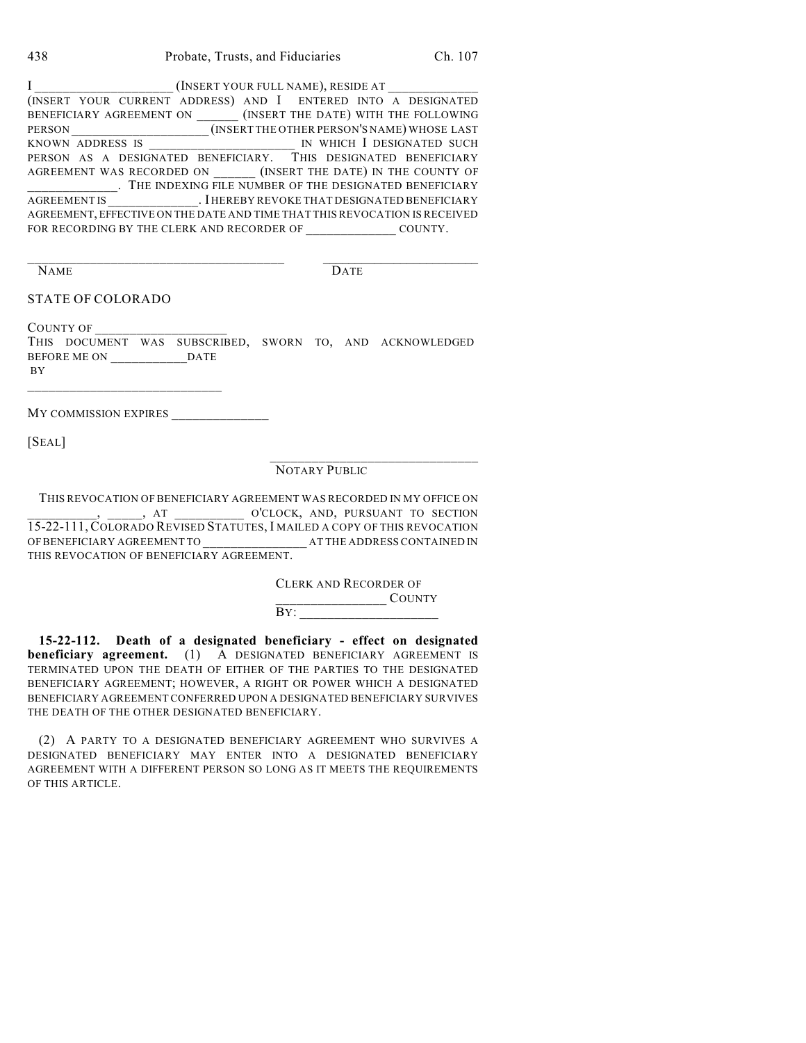| 438 | Probate, Trusts, and Fiduciaries | Ch. 107 |
|-----|----------------------------------|---------|
|-----|----------------------------------|---------|

| (INSERT YOUR FULL NAME), RESIDE AT _________                               |  |  |  |         |  |  |
|----------------------------------------------------------------------------|--|--|--|---------|--|--|
| (INSERT YOUR CURRENT ADDRESS) AND I ENTERED INTO A DESIGNATED              |  |  |  |         |  |  |
| BENEFICIARY AGREEMENT ON (INSERT THE DATE) WITH THE FOLLOWING              |  |  |  |         |  |  |
| PERSON MEDICINE (INSERT THE OTHER PERSON'S NAME) WHOSE LAST                |  |  |  |         |  |  |
| KNOWN ADDRESS IS MONO IN WHICH I DESIGNATED SUCH                           |  |  |  |         |  |  |
| PERSON AS A DESIGNATED BENEFICIARY. THIS DESIGNATED BENEFICIARY            |  |  |  |         |  |  |
| AGREEMENT WAS RECORDED ON (INSERT THE DATE) IN THE COUNTY OF               |  |  |  |         |  |  |
| . THE INDEXING FILE NUMBER OF THE DESIGNATED BENEFICIARY                   |  |  |  |         |  |  |
| AGREEMENT IS FILE REPORT . I HEREBY REVOKE THAT DESIGNATED BENEFICIARY     |  |  |  |         |  |  |
| AGREEMENT, EFFECTIVE ON THE DATE AND TIME THAT THIS REVOCATION IS RECEIVED |  |  |  |         |  |  |
| FOR RECORDING BY THE CLERK AND RECORDER OF                                 |  |  |  | COUNTY. |  |  |

NAME DATE

### STATE OF COLORADO

COUNTY OF THIS DOCUMENT WAS SUBSCRIBED, SWORN TO, AND ACKNOWLEDGED BEFORE ME ON \_\_\_\_\_\_\_\_\_\_\_DATE BY

\_\_\_\_\_\_\_\_\_\_\_\_\_\_\_\_\_\_\_\_\_\_\_\_\_\_\_\_\_\_\_\_\_\_\_\_\_ \_\_\_\_\_\_\_\_\_\_\_\_\_\_\_\_\_\_\_\_\_\_\_\_

MY COMMISSION EXPIRES \_\_\_\_\_\_\_\_\_\_\_\_\_\_

 $\mathcal{L}=\mathcal{L}=\mathcal{L}=\mathcal{L}=\mathcal{L}=\mathcal{L}=\mathcal{L}=\mathcal{L}=\mathcal{L}=\mathcal{L}=\mathcal{L}=\mathcal{L}=\mathcal{L}=\mathcal{L}=\mathcal{L}=\mathcal{L}=\mathcal{L}=\mathcal{L}=\mathcal{L}=\mathcal{L}=\mathcal{L}=\mathcal{L}=\mathcal{L}=\mathcal{L}=\mathcal{L}=\mathcal{L}=\mathcal{L}=\mathcal{L}=\mathcal{L}=\mathcal{L}=\mathcal{L}=\mathcal{L}=\mathcal{L}=\mathcal{L}=\mathcal{L}=\mathcal{L}=\mathcal{$ 

[SEAL]

# NOTARY PUBLIC

THIS REVOCATION OF BENEFICIARY AGREEMENT WAS RECORDED IN MY OFFICE ON \_\_\_\_\_\_\_\_\_\_, \_\_\_\_\_, AT \_\_\_\_\_\_\_\_\_\_ O'CLOCK, AND, PURSUANT TO SECTION 15-22-111, COLORADO REVISED STATUTES, I MAILED A COPY OF THIS REVOCATION OF BENEFICIARY AGREEMENT TO  $\hfill$  AT THE ADDRESS CONTAINED IN THIS REVOCATION OF BENEFICIARY AGREEMENT.

> CLERK AND RECORDER OF \_\_\_\_\_\_\_\_\_\_\_\_\_\_\_\_ COUNTY BY: \_\_\_\_\_\_\_\_\_\_\_\_\_\_\_\_\_\_\_\_

 $\mathcal{L}_\text{max}$  , and the set of the set of the set of the set of the set of the set of the set of the set of the set of the set of the set of the set of the set of the set of the set of the set of the set of the set of the

**15-22-112. Death of a designated beneficiary - effect on designated beneficiary agreement.** (1) A DESIGNATED BENEFICIARY AGREEMENT IS TERMINATED UPON THE DEATH OF EITHER OF THE PARTIES TO THE DESIGNATED BENEFICIARY AGREEMENT; HOWEVER, A RIGHT OR POWER WHICH A DESIGNATED BENEFICIARY AGREEMENT CONFERRED UPON A DESIGNATED BENEFICIARY SURVIVES THE DEATH OF THE OTHER DESIGNATED BENEFICIARY.

(2) A PARTY TO A DESIGNATED BENEFICIARY AGREEMENT WHO SURVIVES A DESIGNATED BENEFICIARY MAY ENTER INTO A DESIGNATED BENEFICIARY AGREEMENT WITH A DIFFERENT PERSON SO LONG AS IT MEETS THE REQUIREMENTS OF THIS ARTICLE.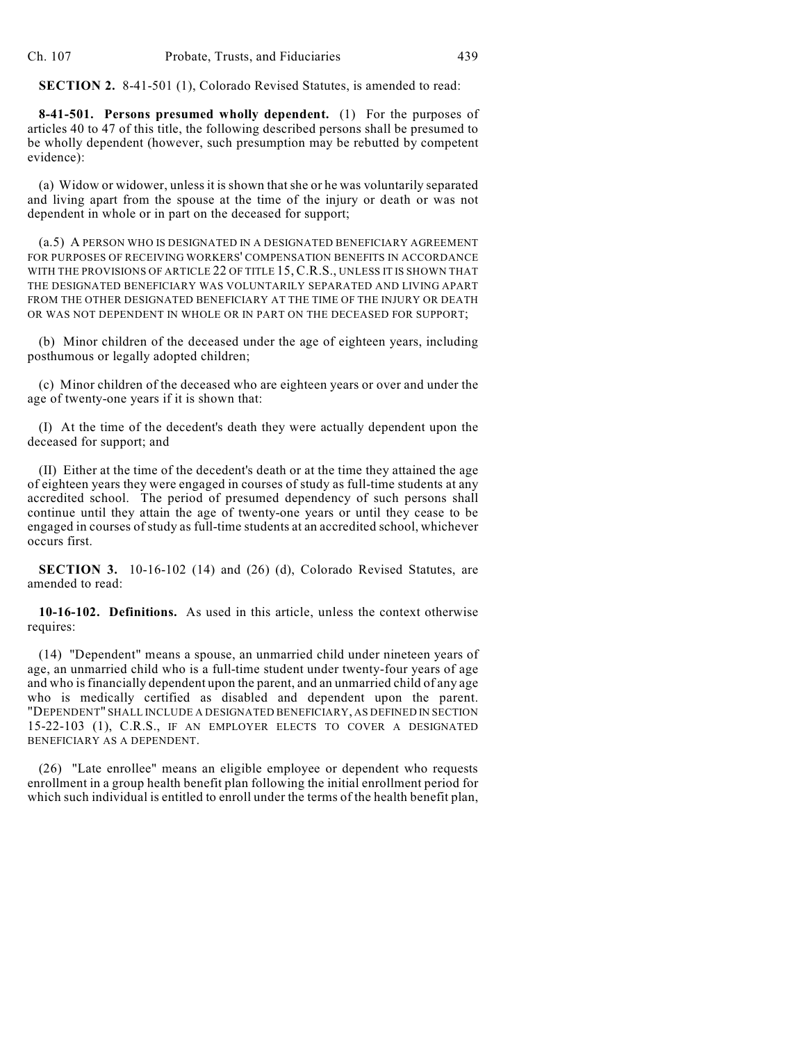**SECTION 2.** 8-41-501 (1), Colorado Revised Statutes, is amended to read:

**8-41-501. Persons presumed wholly dependent.** (1) For the purposes of articles 40 to 47 of this title, the following described persons shall be presumed to be wholly dependent (however, such presumption may be rebutted by competent evidence):

(a) Widow or widower, unless it is shown that she or he was voluntarily separated and living apart from the spouse at the time of the injury or death or was not dependent in whole or in part on the deceased for support;

(a.5) A PERSON WHO IS DESIGNATED IN A DESIGNATED BENEFICIARY AGREEMENT FOR PURPOSES OF RECEIVING WORKERS' COMPENSATION BENEFITS IN ACCORDANCE WITH THE PROVISIONS OF ARTICLE 22 OF TITLE 15, C.R.S., UNLESS IT IS SHOWN THAT THE DESIGNATED BENEFICIARY WAS VOLUNTARILY SEPARATED AND LIVING APART FROM THE OTHER DESIGNATED BENEFICIARY AT THE TIME OF THE INJURY OR DEATH OR WAS NOT DEPENDENT IN WHOLE OR IN PART ON THE DECEASED FOR SUPPORT;

(b) Minor children of the deceased under the age of eighteen years, including posthumous or legally adopted children;

(c) Minor children of the deceased who are eighteen years or over and under the age of twenty-one years if it is shown that:

(I) At the time of the decedent's death they were actually dependent upon the deceased for support; and

(II) Either at the time of the decedent's death or at the time they attained the age of eighteen years they were engaged in courses of study as full-time students at any accredited school. The period of presumed dependency of such persons shall continue until they attain the age of twenty-one years or until they cease to be engaged in courses of study as full-time students at an accredited school, whichever occurs first.

**SECTION 3.** 10-16-102 (14) and (26) (d), Colorado Revised Statutes, are amended to read:

**10-16-102. Definitions.** As used in this article, unless the context otherwise requires:

(14) "Dependent" means a spouse, an unmarried child under nineteen years of age, an unmarried child who is a full-time student under twenty-four years of age and who is financially dependent upon the parent, and an unmarried child of any age who is medically certified as disabled and dependent upon the parent. "DEPENDENT" SHALL INCLUDE A DESIGNATED BENEFICIARY, AS DEFINED IN SECTION 15-22-103 (1), C.R.S., IF AN EMPLOYER ELECTS TO COVER A DESIGNATED BENEFICIARY AS A DEPENDENT.

(26) "Late enrollee" means an eligible employee or dependent who requests enrollment in a group health benefit plan following the initial enrollment period for which such individual is entitled to enroll under the terms of the health benefit plan,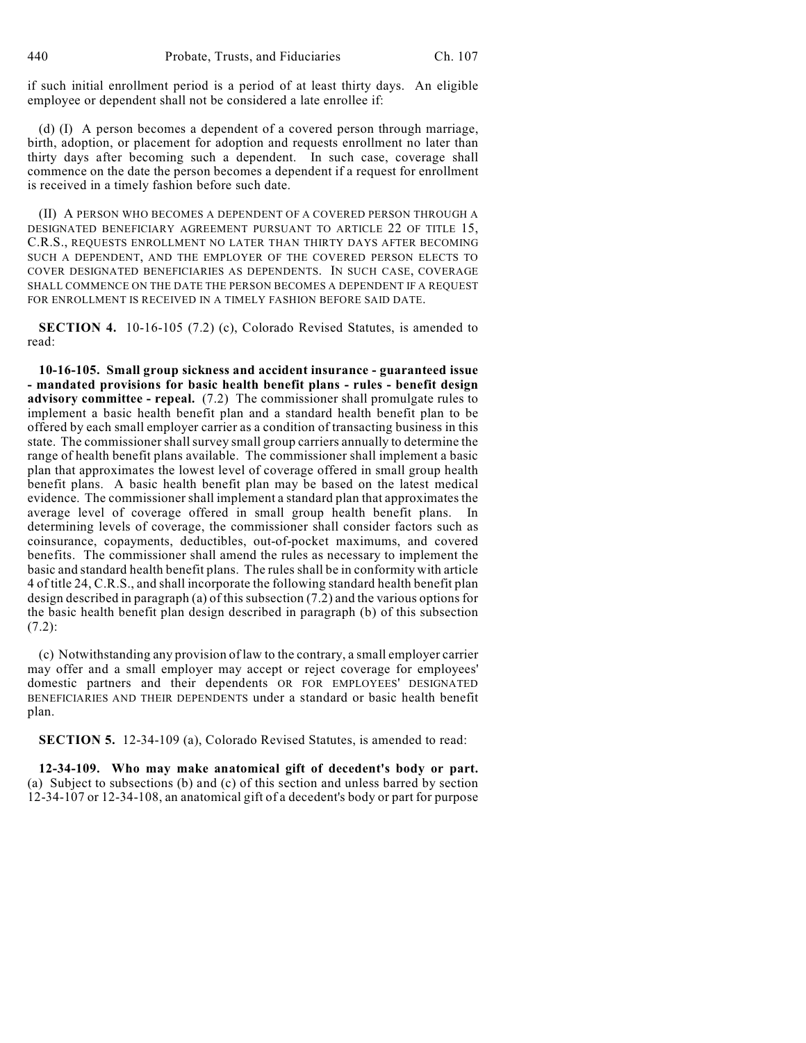if such initial enrollment period is a period of at least thirty days. An eligible employee or dependent shall not be considered a late enrollee if:

(d) (I) A person becomes a dependent of a covered person through marriage, birth, adoption, or placement for adoption and requests enrollment no later than thirty days after becoming such a dependent. In such case, coverage shall commence on the date the person becomes a dependent if a request for enrollment is received in a timely fashion before such date.

(II) A PERSON WHO BECOMES A DEPENDENT OF A COVERED PERSON THROUGH A DESIGNATED BENEFICIARY AGREEMENT PURSUANT TO ARTICLE 22 OF TITLE 15, C.R.S., REQUESTS ENROLLMENT NO LATER THAN THIRTY DAYS AFTER BECOMING SUCH A DEPENDENT, AND THE EMPLOYER OF THE COVERED PERSON ELECTS TO COVER DESIGNATED BENEFICIARIES AS DEPENDENTS. IN SUCH CASE, COVERAGE SHALL COMMENCE ON THE DATE THE PERSON BECOMES A DEPENDENT IF A REQUEST FOR ENROLLMENT IS RECEIVED IN A TIMELY FASHION BEFORE SAID DATE.

**SECTION 4.** 10-16-105 (7.2) (c), Colorado Revised Statutes, is amended to read:

**10-16-105. Small group sickness and accident insurance - guaranteed issue - mandated provisions for basic health benefit plans - rules - benefit design advisory committee - repeal.** (7.2) The commissioner shall promulgate rules to implement a basic health benefit plan and a standard health benefit plan to be offered by each small employer carrier as a condition of transacting business in this state. The commissioner shall survey small group carriers annually to determine the range of health benefit plans available. The commissioner shall implement a basic plan that approximates the lowest level of coverage offered in small group health benefit plans. A basic health benefit plan may be based on the latest medical evidence. The commissioner shall implement a standard plan that approximates the average level of coverage offered in small group health benefit plans. In determining levels of coverage, the commissioner shall consider factors such as coinsurance, copayments, deductibles, out-of-pocket maximums, and covered benefits. The commissioner shall amend the rules as necessary to implement the basic and standard health benefit plans. The rules shall be in conformity with article 4 of title 24, C.R.S., and shall incorporate the following standard health benefit plan design described in paragraph (a) of this subsection (7.2) and the various options for the basic health benefit plan design described in paragraph (b) of this subsection (7.2):

(c) Notwithstanding any provision of law to the contrary, a small employer carrier may offer and a small employer may accept or reject coverage for employees' domestic partners and their dependents OR FOR EMPLOYEES' DESIGNATED BENEFICIARIES AND THEIR DEPENDENTS under a standard or basic health benefit plan.

**SECTION 5.** 12-34-109 (a), Colorado Revised Statutes, is amended to read:

**12-34-109. Who may make anatomical gift of decedent's body or part.** (a) Subject to subsections (b) and (c) of this section and unless barred by section 12-34-107 or 12-34-108, an anatomical gift of a decedent's body or part for purpose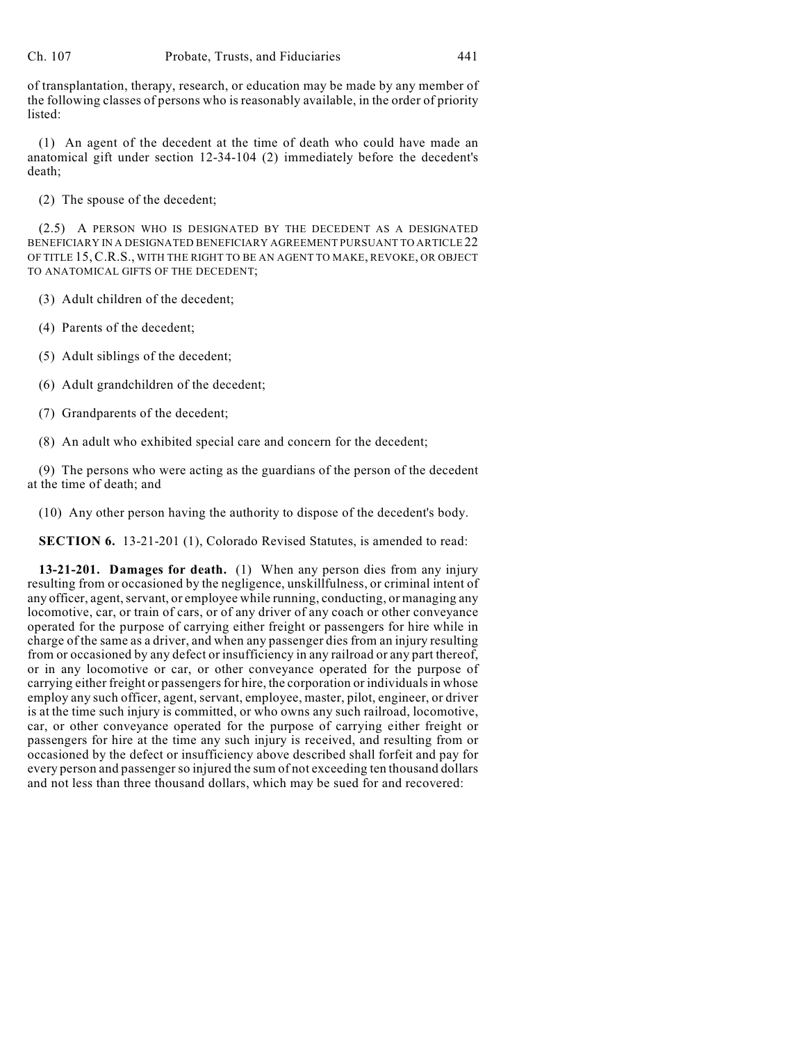of transplantation, therapy, research, or education may be made by any member of the following classes of persons who is reasonably available, in the order of priority listed:

(1) An agent of the decedent at the time of death who could have made an anatomical gift under section 12-34-104 (2) immediately before the decedent's death;

(2) The spouse of the decedent;

(2.5) A PERSON WHO IS DESIGNATED BY THE DECEDENT AS A DESIGNATED BENEFICIARY IN A DESIGNATED BENEFICIARY AGREEMENT PURSUANT TO ARTICLE 22 OF TITLE 15,C.R.S., WITH THE RIGHT TO BE AN AGENT TO MAKE, REVOKE, OR OBJECT TO ANATOMICAL GIFTS OF THE DECEDENT;

(3) Adult children of the decedent;

- (4) Parents of the decedent;
- (5) Adult siblings of the decedent;
- (6) Adult grandchildren of the decedent;
- (7) Grandparents of the decedent;
- (8) An adult who exhibited special care and concern for the decedent;

(9) The persons who were acting as the guardians of the person of the decedent at the time of death; and

(10) Any other person having the authority to dispose of the decedent's body.

**SECTION 6.** 13-21-201 (1), Colorado Revised Statutes, is amended to read:

**13-21-201. Damages for death.** (1) When any person dies from any injury resulting from or occasioned by the negligence, unskillfulness, or criminal intent of any officer, agent, servant, or employee while running, conducting, or managing any locomotive, car, or train of cars, or of any driver of any coach or other conveyance operated for the purpose of carrying either freight or passengers for hire while in charge of the same as a driver, and when any passenger dies from an injury resulting from or occasioned by any defect or insufficiency in any railroad or any part thereof, or in any locomotive or car, or other conveyance operated for the purpose of carrying either freight or passengers for hire, the corporation or individuals in whose employ any such officer, agent, servant, employee, master, pilot, engineer, or driver is at the time such injury is committed, or who owns any such railroad, locomotive, car, or other conveyance operated for the purpose of carrying either freight or passengers for hire at the time any such injury is received, and resulting from or occasioned by the defect or insufficiency above described shall forfeit and pay for every person and passenger so injured the sum of not exceeding ten thousand dollars and not less than three thousand dollars, which may be sued for and recovered: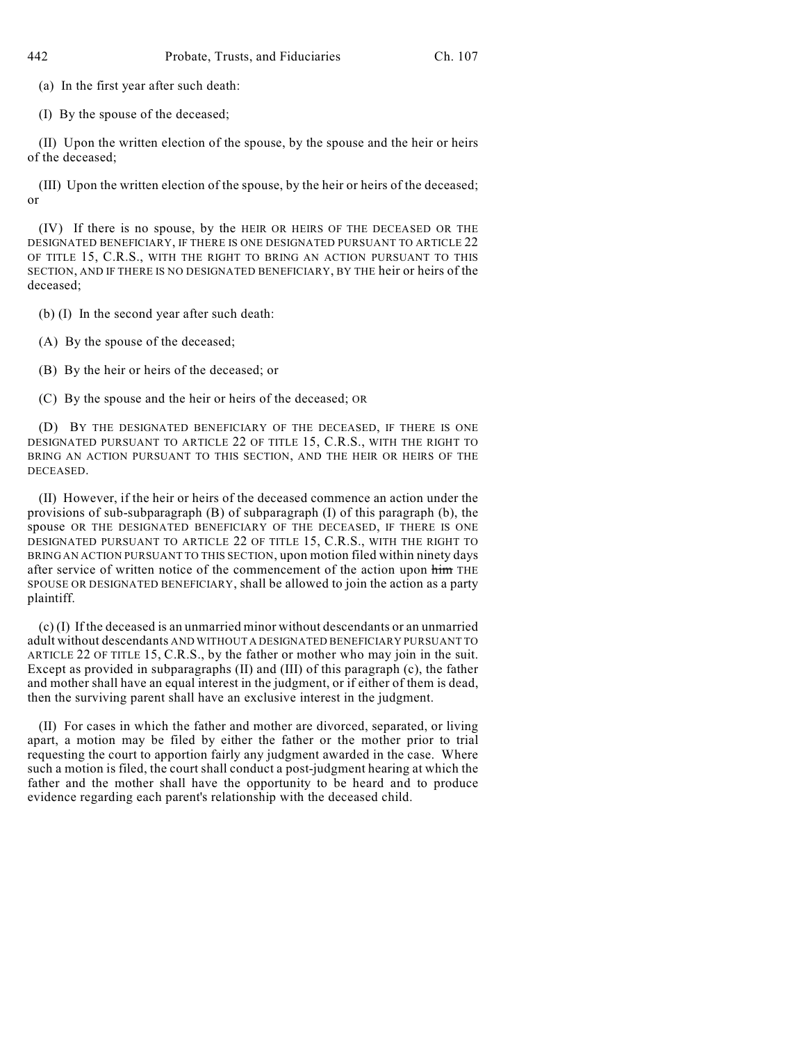(a) In the first year after such death:

(I) By the spouse of the deceased;

(II) Upon the written election of the spouse, by the spouse and the heir or heirs of the deceased;

(III) Upon the written election of the spouse, by the heir or heirs of the deceased; or

(IV) If there is no spouse, by the HEIR OR HEIRS OF THE DECEASED OR THE DESIGNATED BENEFICIARY, IF THERE IS ONE DESIGNATED PURSUANT TO ARTICLE 22 OF TITLE 15, C.R.S., WITH THE RIGHT TO BRING AN ACTION PURSUANT TO THIS SECTION, AND IF THERE IS NO DESIGNATED BENEFICIARY, BY THE heir or heirs of the deceased;

(b) (I) In the second year after such death:

(A) By the spouse of the deceased;

(B) By the heir or heirs of the deceased; or

(C) By the spouse and the heir or heirs of the deceased; OR

(D) BY THE DESIGNATED BENEFICIARY OF THE DECEASED, IF THERE IS ONE DESIGNATED PURSUANT TO ARTICLE 22 OF TITLE 15, C.R.S., WITH THE RIGHT TO BRING AN ACTION PURSUANT TO THIS SECTION, AND THE HEIR OR HEIRS OF THE DECEASED.

(II) However, if the heir or heirs of the deceased commence an action under the provisions of sub-subparagraph (B) of subparagraph (I) of this paragraph (b), the spouse OR THE DESIGNATED BENEFICIARY OF THE DECEASED, IF THERE IS ONE DESIGNATED PURSUANT TO ARTICLE 22 OF TITLE 15, C.R.S., WITH THE RIGHT TO BRING AN ACTION PURSUANT TO THIS SECTION, upon motion filed within ninety days after service of written notice of the commencement of the action upon him THE SPOUSE OR DESIGNATED BENEFICIARY, shall be allowed to join the action as a party plaintiff.

(c) (I) If the deceased is an unmarried minor without descendants or an unmarried adult without descendants AND WITHOUT A DESIGNATED BENEFICIARY PURSUANT TO ARTICLE 22 OF TITLE 15, C.R.S., by the father or mother who may join in the suit. Except as provided in subparagraphs (II) and (III) of this paragraph (c), the father and mother shall have an equal interest in the judgment, or if either of them is dead, then the surviving parent shall have an exclusive interest in the judgment.

(II) For cases in which the father and mother are divorced, separated, or living apart, a motion may be filed by either the father or the mother prior to trial requesting the court to apportion fairly any judgment awarded in the case. Where such a motion is filed, the court shall conduct a post-judgment hearing at which the father and the mother shall have the opportunity to be heard and to produce evidence regarding each parent's relationship with the deceased child.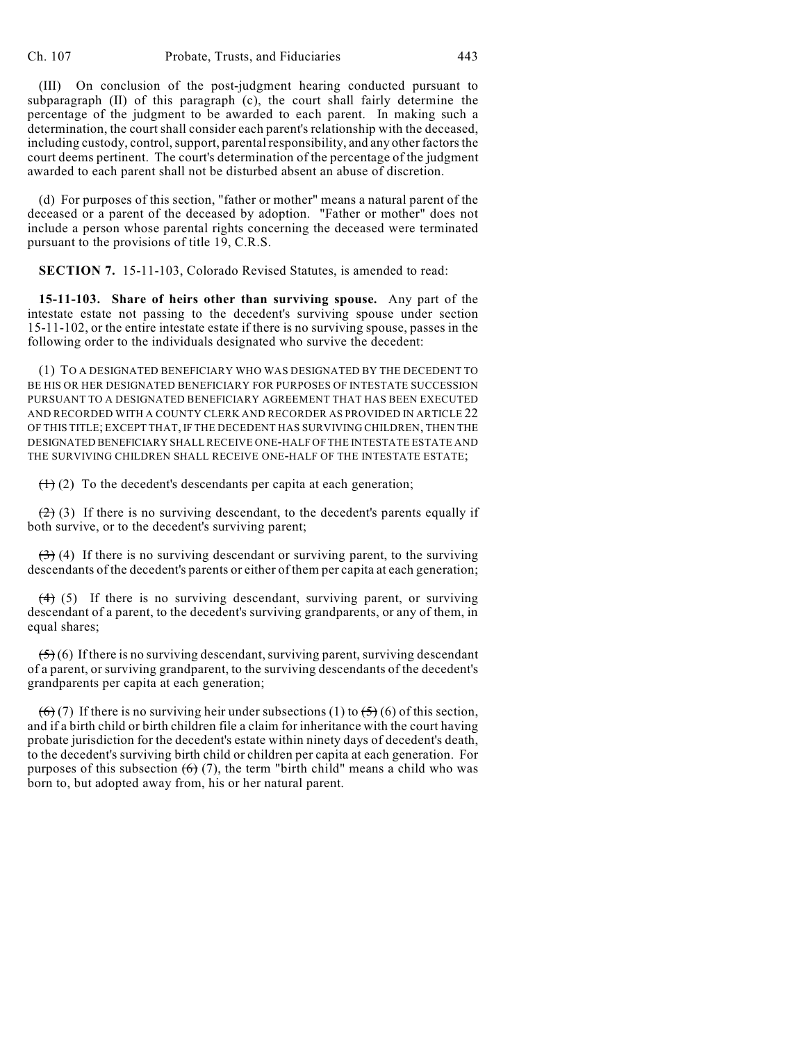(III) On conclusion of the post-judgment hearing conducted pursuant to subparagraph (II) of this paragraph (c), the court shall fairly determine the percentage of the judgment to be awarded to each parent. In making such a determination, the court shall consider each parent's relationship with the deceased, including custody, control, support, parental responsibility, and any other factors the court deems pertinent. The court's determination of the percentage of the judgment awarded to each parent shall not be disturbed absent an abuse of discretion.

(d) For purposes of this section, "father or mother" means a natural parent of the deceased or a parent of the deceased by adoption. "Father or mother" does not include a person whose parental rights concerning the deceased were terminated pursuant to the provisions of title 19, C.R.S.

**SECTION 7.** 15-11-103, Colorado Revised Statutes, is amended to read:

**15-11-103. Share of heirs other than surviving spouse.** Any part of the intestate estate not passing to the decedent's surviving spouse under section 15-11-102, or the entire intestate estate if there is no surviving spouse, passes in the following order to the individuals designated who survive the decedent:

(1) TO A DESIGNATED BENEFICIARY WHO WAS DESIGNATED BY THE DECEDENT TO BE HIS OR HER DESIGNATED BENEFICIARY FOR PURPOSES OF INTESTATE SUCCESSION PURSUANT TO A DESIGNATED BENEFICIARY AGREEMENT THAT HAS BEEN EXECUTED AND RECORDED WITH A COUNTY CLERK AND RECORDER AS PROVIDED IN ARTICLE 22 OF THIS TITLE; EXCEPT THAT, IF THE DECEDENT HAS SURVIVING CHILDREN, THEN THE DESIGNATED BENEFICIARY SHALL RECEIVE ONE-HALF OF THE INTESTATE ESTATE AND THE SURVIVING CHILDREN SHALL RECEIVE ONE-HALF OF THE INTESTATE ESTATE;

 $(1)$  (2) To the decedent's descendants per capita at each generation;

 $(2)$  (3) If there is no surviving descendant, to the decedent's parents equally if both survive, or to the decedent's surviving parent;

 $(3)$  (4) If there is no surviving descendant or surviving parent, to the surviving descendants of the decedent's parents or either of them per capita at each generation;

 $(4)$  (5) If there is no surviving descendant, surviving parent, or surviving descendant of a parent, to the decedent's surviving grandparents, or any of them, in equal shares;

 $(5)(6)$  If there is no surviving descendant, surviving parent, surviving descendant of a parent, or surviving grandparent, to the surviving descendants of the decedent's grandparents per capita at each generation;

 $(6)$  (7) If there is no surviving heir under subsections (1) to  $(5)$  (6) of this section, and if a birth child or birth children file a claim for inheritance with the court having probate jurisdiction for the decedent's estate within ninety days of decedent's death, to the decedent's surviving birth child or children per capita at each generation. For purposes of this subsection  $(6)$  (7), the term "birth child" means a child who was born to, but adopted away from, his or her natural parent.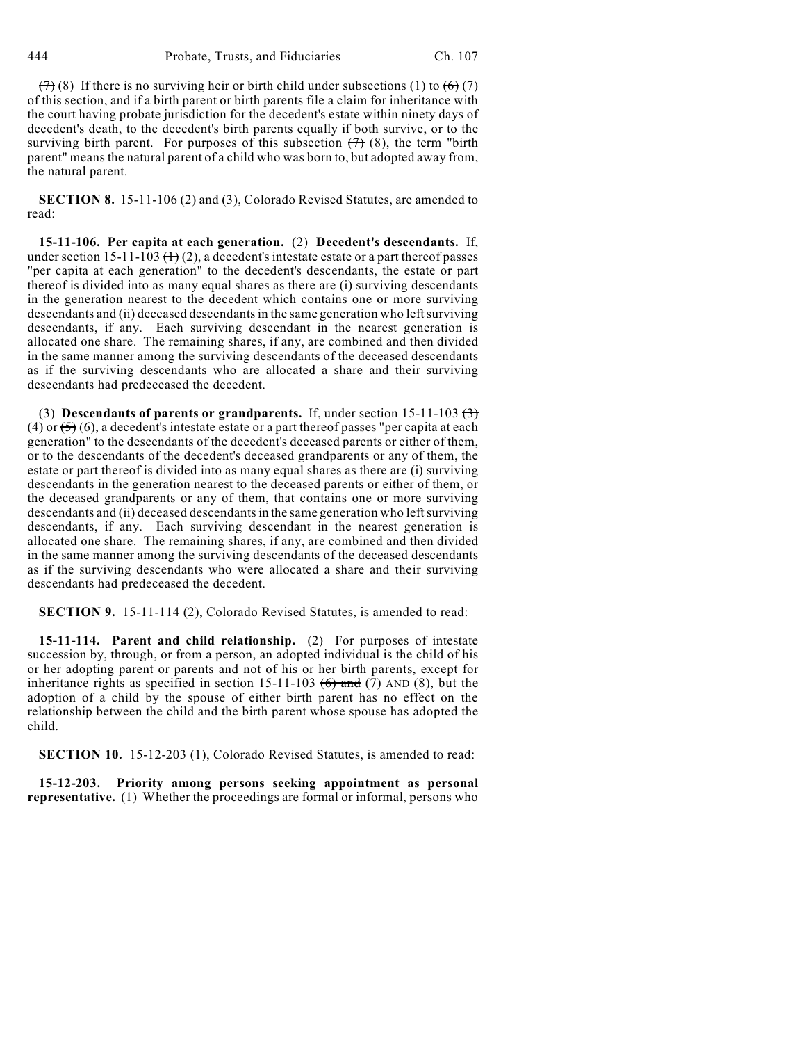$(7)$  (8) If there is no surviving heir or birth child under subsections (1) to  $(6)$  (7) of this section, and if a birth parent or birth parents file a claim for inheritance with the court having probate jurisdiction for the decedent's estate within ninety days of decedent's death, to the decedent's birth parents equally if both survive, or to the surviving birth parent. For purposes of this subsection  $(7)$  (8), the term "birth parent" means the natural parent of a child who was born to, but adopted away from, the natural parent.

**SECTION 8.** 15-11-106 (2) and (3), Colorado Revised Statutes, are amended to read:

**15-11-106. Per capita at each generation.** (2) **Decedent's descendants.** If, under section 15-11-103  $(+)$  (2), a decedent's intestate estate or a part thereof passes "per capita at each generation" to the decedent's descendants, the estate or part thereof is divided into as many equal shares as there are (i) surviving descendants in the generation nearest to the decedent which contains one or more surviving descendants and (ii) deceased descendants in the same generation who left surviving descendants, if any. Each surviving descendant in the nearest generation is allocated one share. The remaining shares, if any, are combined and then divided in the same manner among the surviving descendants of the deceased descendants as if the surviving descendants who are allocated a share and their surviving descendants had predeceased the decedent.

(3) **Descendants of parents or grandparents.** If, under section  $15{\text -}11{\text -}103$   $\leftrightarrow$ (4) or  $(5)$  (6), a decedent's intestate estate or a part thereof passes "per capita at each generation" to the descendants of the decedent's deceased parents or either of them, or to the descendants of the decedent's deceased grandparents or any of them, the estate or part thereof is divided into as many equal shares as there are (i) surviving descendants in the generation nearest to the deceased parents or either of them, or the deceased grandparents or any of them, that contains one or more surviving descendants and (ii) deceased descendants in the same generation who left surviving descendants, if any. Each surviving descendant in the nearest generation is allocated one share. The remaining shares, if any, are combined and then divided in the same manner among the surviving descendants of the deceased descendants as if the surviving descendants who were allocated a share and their surviving descendants had predeceased the decedent.

**SECTION 9.** 15-11-114 (2), Colorado Revised Statutes, is amended to read:

**15-11-114. Parent and child relationship.** (2) For purposes of intestate succession by, through, or from a person, an adopted individual is the child of his or her adopting parent or parents and not of his or her birth parents, except for inheritance rights as specified in section 15-11-103  $(6)$  and (7) AND (8), but the adoption of a child by the spouse of either birth parent has no effect on the relationship between the child and the birth parent whose spouse has adopted the child.

**SECTION 10.** 15-12-203 (1), Colorado Revised Statutes, is amended to read:

**15-12-203. Priority among persons seeking appointment as personal representative.** (1) Whether the proceedings are formal or informal, persons who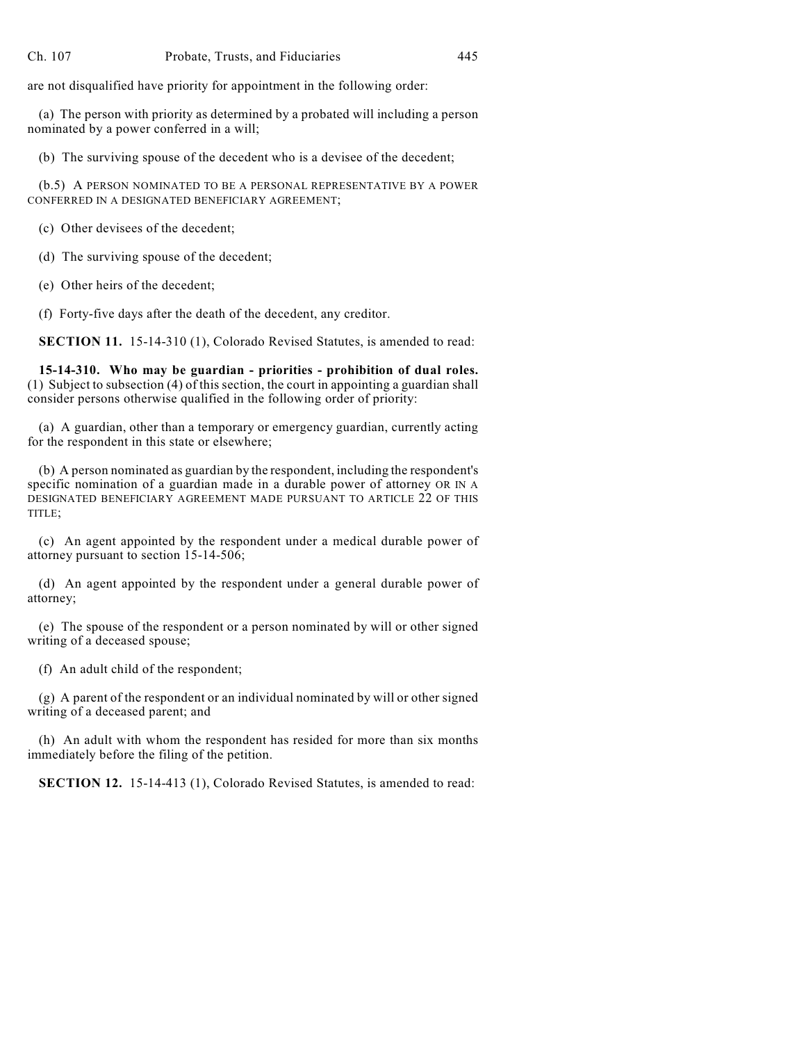are not disqualified have priority for appointment in the following order:

(a) The person with priority as determined by a probated will including a person nominated by a power conferred in a will;

(b) The surviving spouse of the decedent who is a devisee of the decedent;

(b.5) A PERSON NOMINATED TO BE A PERSONAL REPRESENTATIVE BY A POWER CONFERRED IN A DESIGNATED BENEFICIARY AGREEMENT;

(c) Other devisees of the decedent;

(d) The surviving spouse of the decedent;

(e) Other heirs of the decedent;

(f) Forty-five days after the death of the decedent, any creditor.

**SECTION 11.** 15-14-310 (1), Colorado Revised Statutes, is amended to read:

**15-14-310. Who may be guardian - priorities - prohibition of dual roles.** (1) Subject to subsection (4) of this section, the court in appointing a guardian shall consider persons otherwise qualified in the following order of priority:

(a) A guardian, other than a temporary or emergency guardian, currently acting for the respondent in this state or elsewhere;

(b) A person nominated as guardian by the respondent, including the respondent's specific nomination of a guardian made in a durable power of attorney OR IN A DESIGNATED BENEFICIARY AGREEMENT MADE PURSUANT TO ARTICLE 22 OF THIS TITLE;

(c) An agent appointed by the respondent under a medical durable power of attorney pursuant to section 15-14-506;

(d) An agent appointed by the respondent under a general durable power of attorney;

(e) The spouse of the respondent or a person nominated by will or other signed writing of a deceased spouse;

(f) An adult child of the respondent;

(g) A parent of the respondent or an individual nominated by will or other signed writing of a deceased parent; and

(h) An adult with whom the respondent has resided for more than six months immediately before the filing of the petition.

**SECTION 12.** 15-14-413 (1), Colorado Revised Statutes, is amended to read: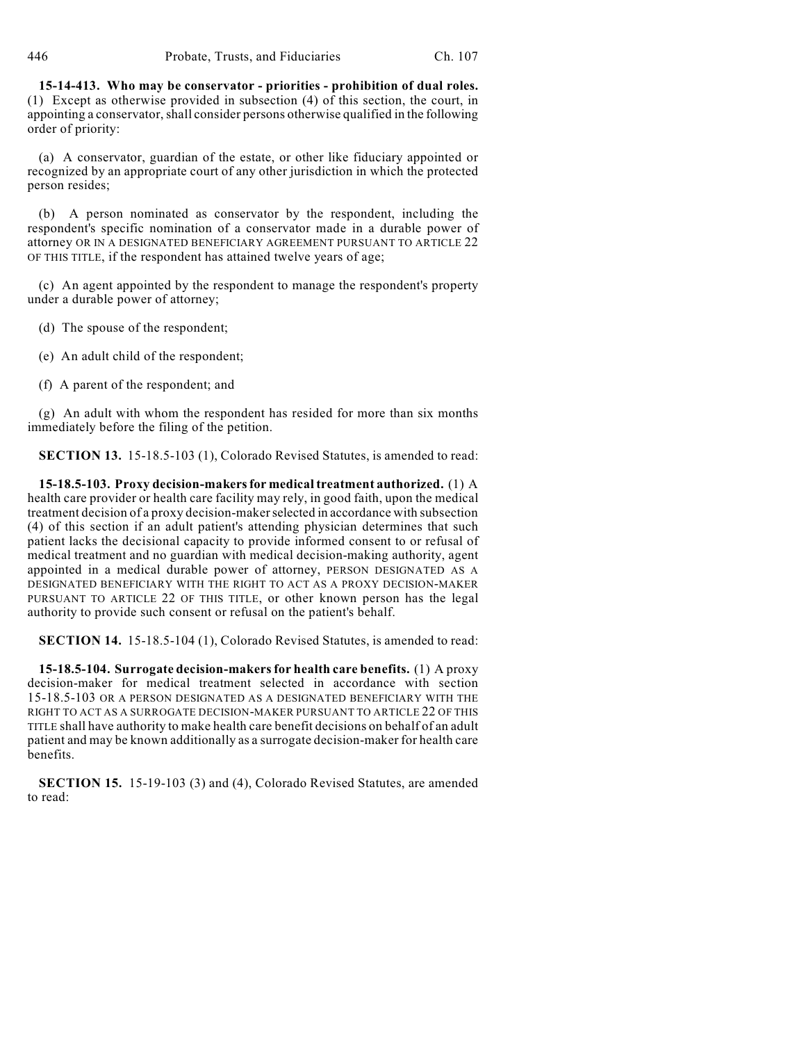**15-14-413. Who may be conservator - priorities - prohibition of dual roles.** (1) Except as otherwise provided in subsection (4) of this section, the court, in appointing a conservator, shall consider persons otherwise qualified in the following order of priority:

(a) A conservator, guardian of the estate, or other like fiduciary appointed or recognized by an appropriate court of any other jurisdiction in which the protected person resides;

(b) A person nominated as conservator by the respondent, including the respondent's specific nomination of a conservator made in a durable power of attorney OR IN A DESIGNATED BENEFICIARY AGREEMENT PURSUANT TO ARTICLE 22 OF THIS TITLE, if the respondent has attained twelve years of age;

(c) An agent appointed by the respondent to manage the respondent's property under a durable power of attorney;

- (d) The spouse of the respondent;
- (e) An adult child of the respondent;
- (f) A parent of the respondent; and

(g) An adult with whom the respondent has resided for more than six months immediately before the filing of the petition.

**SECTION 13.** 15-18.5-103 (1), Colorado Revised Statutes, is amended to read:

**15-18.5-103. Proxy decision-makers for medical treatment authorized.** (1) A health care provider or health care facility may rely, in good faith, upon the medical treatment decision of a proxy decision-maker selected in accordance with subsection (4) of this section if an adult patient's attending physician determines that such patient lacks the decisional capacity to provide informed consent to or refusal of medical treatment and no guardian with medical decision-making authority, agent appointed in a medical durable power of attorney, PERSON DESIGNATED AS A DESIGNATED BENEFICIARY WITH THE RIGHT TO ACT AS A PROXY DECISION-MAKER PURSUANT TO ARTICLE 22 OF THIS TITLE, or other known person has the legal authority to provide such consent or refusal on the patient's behalf.

**SECTION 14.** 15-18.5-104 (1), Colorado Revised Statutes, is amended to read:

**15-18.5-104. Surrogate decision-makers for health care benefits.** (1) A proxy decision-maker for medical treatment selected in accordance with section 15-18.5-103 OR A PERSON DESIGNATED AS A DESIGNATED BENEFICIARY WITH THE RIGHT TO ACT AS A SURROGATE DECISION-MAKER PURSUANT TO ARTICLE 22 OF THIS TITLE shall have authority to make health care benefit decisions on behalf of an adult patient and may be known additionally as a surrogate decision-maker for health care benefits.

**SECTION 15.** 15-19-103 (3) and (4), Colorado Revised Statutes, are amended to read: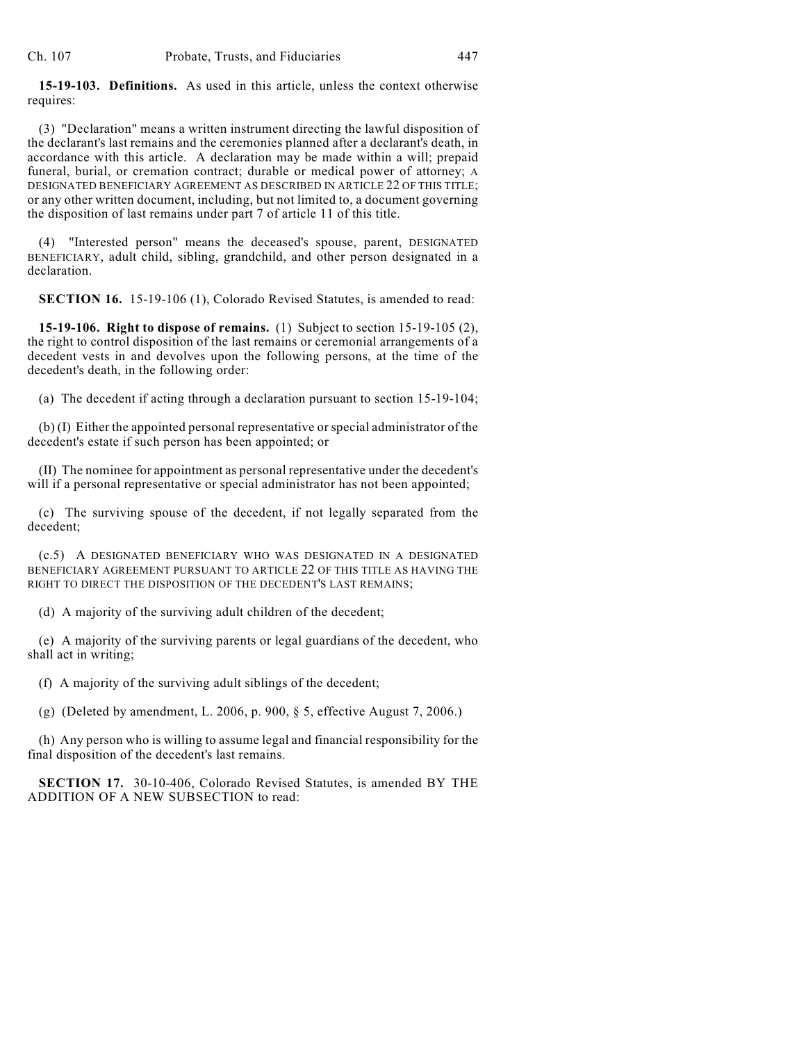**15-19-103. Definitions.** As used in this article, unless the context otherwise requires:

(3) "Declaration" means a written instrument directing the lawful disposition of the declarant's last remains and the ceremonies planned after a declarant's death, in accordance with this article. A declaration may be made within a will; prepaid funeral, burial, or cremation contract; durable or medical power of attorney; A DESIGNATED BENEFICIARY AGREEMENT AS DESCRIBED IN ARTICLE 22 OF THIS TITLE; or any other written document, including, but not limited to, a document governing the disposition of last remains under part 7 of article 11 of this title.

(4) "Interested person" means the deceased's spouse, parent, DESIGNATED BENEFICIARY, adult child, sibling, grandchild, and other person designated in a declaration.

**SECTION 16.** 15-19-106 (1), Colorado Revised Statutes, is amended to read:

**15-19-106. Right to dispose of remains.** (1) Subject to section 15-19-105 (2), the right to control disposition of the last remains or ceremonial arrangements of a decedent vests in and devolves upon the following persons, at the time of the decedent's death, in the following order:

(a) The decedent if acting through a declaration pursuant to section 15-19-104;

(b) (I) Either the appointed personal representative or special administrator of the decedent's estate if such person has been appointed; or

(II) The nominee for appointment as personal representative under the decedent's will if a personal representative or special administrator has not been appointed;

(c) The surviving spouse of the decedent, if not legally separated from the decedent;

(c.5) A DESIGNATED BENEFICIARY WHO WAS DESIGNATED IN A DESIGNATED BENEFICIARY AGREEMENT PURSUANT TO ARTICLE 22 OF THIS TITLE AS HAVING THE RIGHT TO DIRECT THE DISPOSITION OF THE DECEDENT'S LAST REMAINS;

(d) A majority of the surviving adult children of the decedent;

(e) A majority of the surviving parents or legal guardians of the decedent, who shall act in writing;

(f) A majority of the surviving adult siblings of the decedent;

(g) (Deleted by amendment, L. 2006, p. 900,  $\S$  5, effective August 7, 2006.)

(h) Any person who is willing to assume legal and financial responsibility for the final disposition of the decedent's last remains.

**SECTION 17.** 30-10-406, Colorado Revised Statutes, is amended BY THE ADDITION OF A NEW SUBSECTION to read: